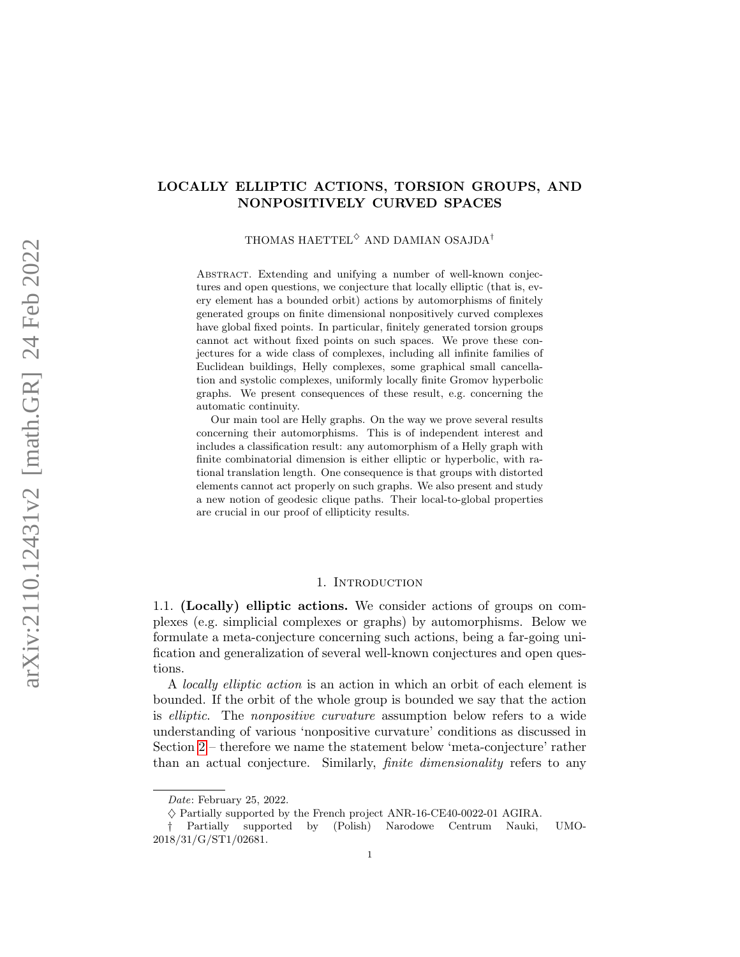# LOCALLY ELLIPTIC ACTIONS, TORSION GROUPS, AND NONPOSITIVELY CURVED SPACES

THOMAS HAETTEL<sup> $\diamond$ </sup> AND DAMIAN OSAJDA<sup>†</sup>

Abstract. Extending and unifying a number of well-known conjectures and open questions, we conjecture that locally elliptic (that is, every element has a bounded orbit) actions by automorphisms of finitely generated groups on finite dimensional nonpositively curved complexes have global fixed points. In particular, finitely generated torsion groups cannot act without fixed points on such spaces. We prove these conjectures for a wide class of complexes, including all infinite families of Euclidean buildings, Helly complexes, some graphical small cancellation and systolic complexes, uniformly locally finite Gromov hyperbolic graphs. We present consequences of these result, e.g. concerning the automatic continuity.

Our main tool are Helly graphs. On the way we prove several results concerning their automorphisms. This is of independent interest and includes a classification result: any automorphism of a Helly graph with finite combinatorial dimension is either elliptic or hyperbolic, with rational translation length. One consequence is that groups with distorted elements cannot act properly on such graphs. We also present and study a new notion of geodesic clique paths. Their local-to-global properties are crucial in our proof of ellipticity results.

### 1. Introduction

<span id="page-0-1"></span><span id="page-0-0"></span>1.1. (Locally) elliptic actions. We consider actions of groups on complexes (e.g. simplicial complexes or graphs) by automorphisms. Below we formulate a meta-conjecture concerning such actions, being a far-going unification and generalization of several well-known conjectures and open questions.

A locally elliptic action is an action in which an orbit of each element is bounded. If the orbit of the whole group is bounded we say that the action is elliptic. The nonpositive curvature assumption below refers to a wide understanding of various 'nonpositive curvature' conditions as discussed in Section [2](#page-8-0) – therefore we name the statement below 'meta-conjecture' rather than an actual conjecture. Similarly, finite dimensionality refers to any

Date: February 25, 2022.

 $\diamond$  Partially supported by the French project ANR-16-CE40-0022-01 AGIRA.

<sup>†</sup> Partially supported by (Polish) Narodowe Centrum Nauki, UMO-2018/31/G/ST1/02681.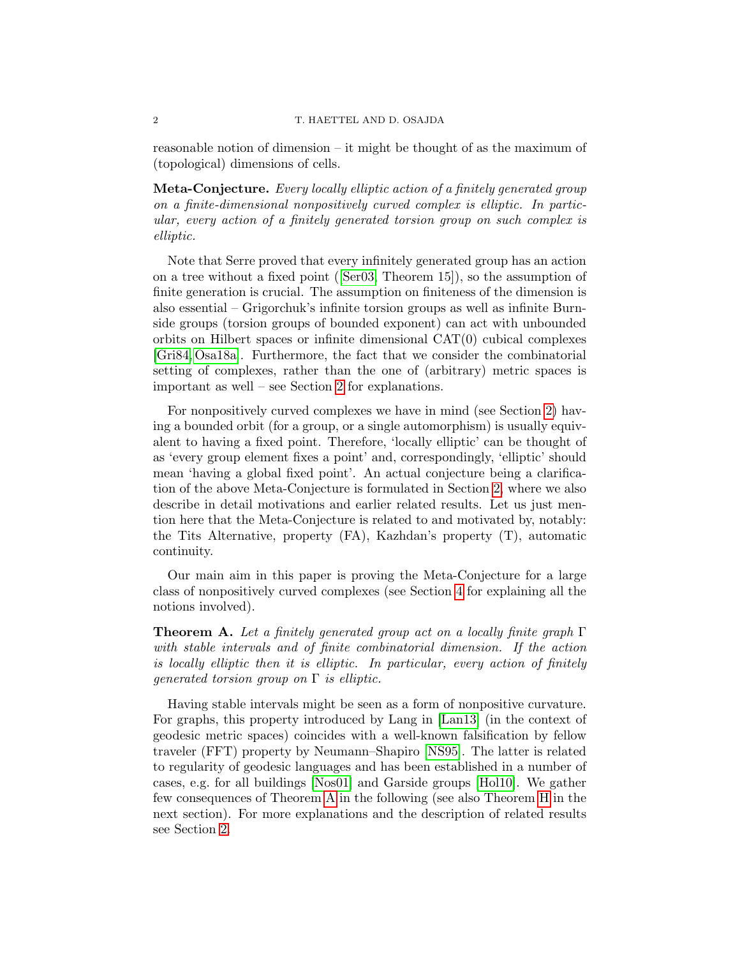reasonable notion of dimension – it might be thought of as the maximum of (topological) dimensions of cells.

Meta-Conjecture. Every locally elliptic action of a finitely generated group on a finite-dimensional nonpositively curved complex is elliptic. In particular, every action of a finitely generated torsion group on such complex is elliptic.

Note that Serre proved that every infinitely generated group has an action on a tree without a fixed point([\[Ser03,](#page-34-0) Theorem 15]), so the assumption of finite generation is crucial. The assumption on finiteness of the dimension is also essential – Grigorchuk's infinite torsion groups as well as infinite Burnside groups (torsion groups of bounded exponent) can act with unbounded orbits on Hilbert spaces or infinite dimensional CAT(0) cubical complexes [\[Gri84,](#page-32-0) [Osa18a\]](#page-34-1). Furthermore, the fact that we consider the combinatorial setting of complexes, rather than the one of (arbitrary) metric spaces is important as well – see Section [2](#page-8-0) for explanations.

For nonpositively curved complexes we have in mind (see Section [2\)](#page-8-0) having a bounded orbit (for a group, or a single automorphism) is usually equivalent to having a fixed point. Therefore, 'locally elliptic' can be thought of as 'every group element fixes a point' and, correspondingly, 'elliptic' should mean 'having a global fixed point'. An actual conjecture being a clarification of the above Meta-Conjecture is formulated in Section [2,](#page-8-0) where we also describe in detail motivations and earlier related results. Let us just mention here that the Meta-Conjecture is related to and motivated by, notably: the Tits Alternative, property (FA), Kazhdan's property (T), automatic continuity.

Our main aim in this paper is proving the Meta-Conjecture for a large class of nonpositively curved complexes (see Section [4](#page-14-0) for explaining all the notions involved).

<span id="page-1-0"></span>**Theorem A.** Let a finitely generated group act on a locally finite graph  $\Gamma$ with stable intervals and of finite combinatorial dimension. If the action is locally elliptic then it is elliptic. In particular, every action of finitely *generated torsion group on*  $\Gamma$  *is elliptic.* 

Having stable intervals might be seen as a form of nonpositive curvature. For graphs, this property introduced by Lang in [\[Lan13\]](#page-33-0) (in the context of geodesic metric spaces) coincides with a well-known falsification by fellow traveler (FFT) property by Neumann–Shapiro [\[NS95\]](#page-33-1). The latter is related to regularity of geodesic languages and has been established in a number of cases, e.g. for all buildings [\[Nos01\]](#page-33-2) and Garside groups [\[Hol10\]](#page-33-3). We gather few consequences of Theorem [A](#page-1-0) in the following (see also Theorem [H](#page-3-0) in the next section). For more explanations and the description of related results see Section [2.](#page-8-0)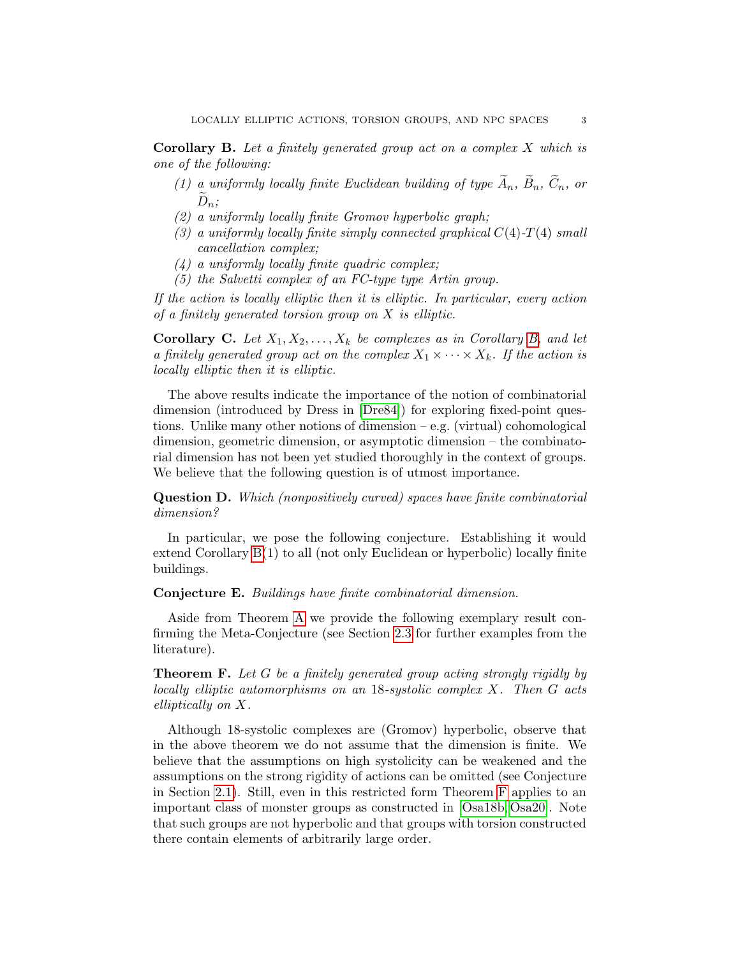<span id="page-2-0"></span>**Corollary B.** Let a finitely generated group act on a complex  $X$  which is one of the following:

- (1) a uniformly locally finite Euclidean building of type  $\widetilde{A}_n$ ,  $\widetilde{B}_n$ ,  $\widetilde{C}_n$ , or  $\widetilde{D}_n$ ;
- <span id="page-2-3"></span>(2) a uniformly locally finite Gromov hyperbolic graph;
- <span id="page-2-4"></span>(3) a uniformly locally finite simply connected graphical  $C(4)$ -T(4) small cancellation complex;
- (4) a uniformly locally finite quadric complex;
- (5) the Salvetti complex of an FC-type type Artin group.

If the action is locally elliptic then it is elliptic. In particular, every action of a finitely generated torsion group on  $X$  is elliptic.

<span id="page-2-2"></span>**Corollary C.** Let  $X_1, X_2, \ldots, X_k$  be complexes as in Corollary [B,](#page-2-0) and let a finitely generated group act on the complex  $X_1 \times \cdots \times X_k$ . If the action is locally elliptic then it is elliptic.

The above results indicate the importance of the notion of combinatorial dimension (introduced by Dress in [\[Dre84\]](#page-32-1)) for exploring fixed-point questions. Unlike many other notions of dimension – e.g. (virtual) cohomological dimension, geometric dimension, or asymptotic dimension – the combinatorial dimension has not been yet studied thoroughly in the context of groups. We believe that the following question is of utmost importance.

Question D. Which (nonpositively curved) spaces have finite combinatorial dimension?

In particular, we pose the following conjecture. Establishing it would extend Corollary [B\(](#page-2-0)1) to all (not only Euclidean or hyperbolic) locally finite buildings.

<span id="page-2-5"></span>Conjecture E. Buildings have finite combinatorial dimension.

Aside from Theorem [A](#page-1-0) we provide the following exemplary result confirming the Meta-Conjecture (see Section [2.3](#page-10-0) for further examples from the literature).

<span id="page-2-1"></span>Theorem F. Let G be a finitely generated group acting strongly rigidly by locally elliptic automorphisms on an 18-systolic complex X. Then G acts elliptically on X.

Although 18-systolic complexes are (Gromov) hyperbolic, observe that in the above theorem we do not assume that the dimension is finite. We believe that the assumptions on high systolicity can be weakened and the assumptions on the strong rigidity of actions can be omitted (see Conjecture in Section [2.1\)](#page-8-1). Still, even in this restricted form Theorem [F](#page-2-1) applies to an important class of monster groups as constructed in [\[Osa18b,](#page-34-2) [Osa20\]](#page-34-3). Note that such groups are not hyperbolic and that groups with torsion constructed there contain elements of arbitrarily large order.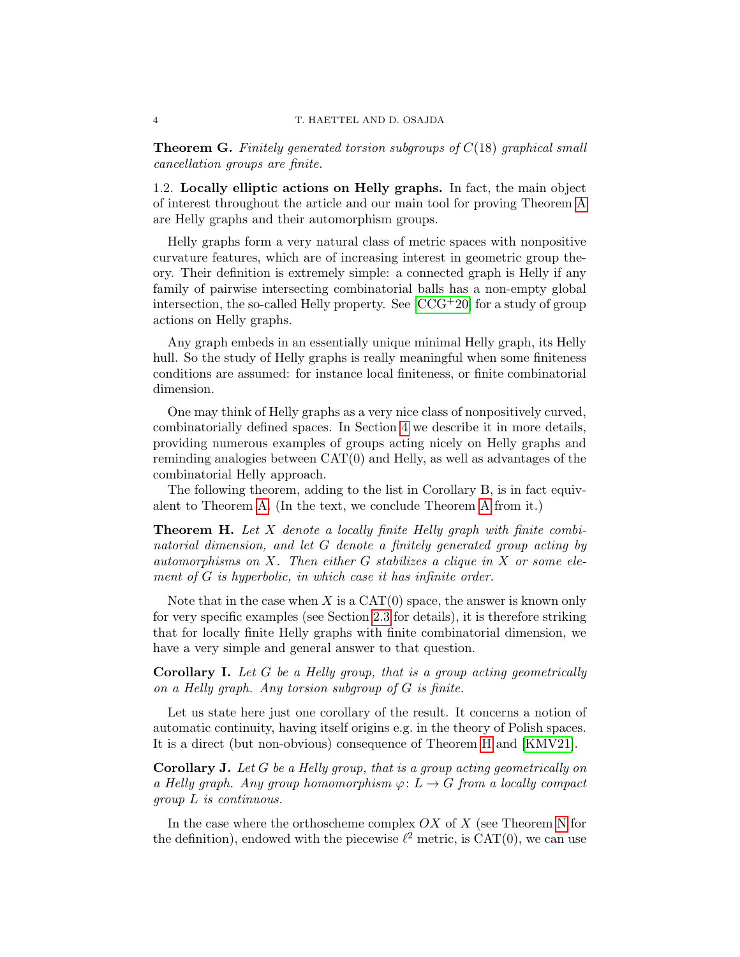<span id="page-3-1"></span>**Theorem G.** Finitely generated torsion subgroups of  $C(18)$  graphical small cancellation groups are finite.

<span id="page-3-2"></span>1.2. Locally elliptic actions on Helly graphs. In fact, the main object of interest throughout the article and our main tool for proving Theorem [A](#page-1-0) are Helly graphs and their automorphism groups.

Helly graphs form a very natural class of metric spaces with nonpositive curvature features, which are of increasing interest in geometric group theory. Their definition is extremely simple: a connected graph is Helly if any family of pairwise intersecting combinatorial balls has a non-empty global intersection, the so-called Helly property. See  $[CCG^+20]$  for a study of group actions on Helly graphs.

Any graph embeds in an essentially unique minimal Helly graph, its Helly hull. So the study of Helly graphs is really meaningful when some finiteness conditions are assumed: for instance local finiteness, or finite combinatorial dimension.

One may think of Helly graphs as a very nice class of nonpositively curved, combinatorially defined spaces. In Section [4](#page-14-0) we describe it in more details, providing numerous examples of groups acting nicely on Helly graphs and reminding analogies between CAT(0) and Helly, as well as advantages of the combinatorial Helly approach.

The following theorem, adding to the list in Corollary B, is in fact equivalent to Theorem [A.](#page-1-0) (In the text, we conclude Theorem [A](#page-1-0) from it.)

<span id="page-3-0"></span>**Theorem H.** Let  $X$  denote a locally finite Helly graph with finite combinatorial dimension, and let G denote a finitely generated group acting by automorphisms on  $X$ . Then either  $G$  stabilizes a clique in  $X$  or some element of G is hyperbolic, in which case it has infinite order.

Note that in the case when X is a  $CAT(0)$  space, the answer is known only for very specific examples (see Section [2.3](#page-10-0) for details), it is therefore striking that for locally finite Helly graphs with finite combinatorial dimension, we have a very simple and general answer to that question.

Corollary I. Let G be a Helly group, that is a group acting geometrically on a Helly graph. Any torsion subgroup of G is finite.

Let us state here just one corollary of the result. It concerns a notion of automatic continuity, having itself origins e.g. in the theory of Polish spaces. It is a direct (but non-obvious) consequence of Theorem [H](#page-3-0) and [\[KMV21\]](#page-33-4).

Corollary J. Let G be a Helly group, that is a group acting geometrically on a Helly graph. Any group homomorphism  $\varphi: L \to G$  from a locally compact group L is continuous.

In the case where the orthoscheme complex  $OX$  of  $X$  (see Theorem [N](#page-4-0) for the definition), endowed with the piecewise  $\ell^2$  metric, is CAT(0), we can use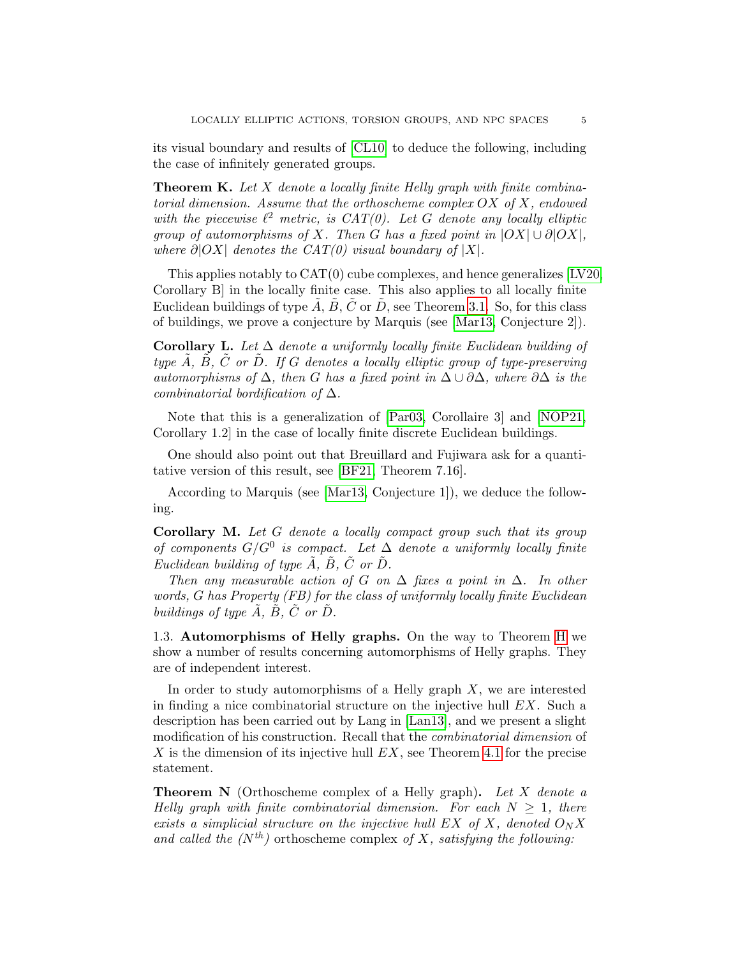its visual boundary and results of [\[CL10\]](#page-31-1) to deduce the following, including the case of infinitely generated groups.

<span id="page-4-1"></span>**Theorem K.** Let X denote a locally finite Helly graph with finite combinatorial dimension. Assume that the orthoscheme complex  $OX$  of  $X$ , endowed with the piecewise  $\ell^2$  metric, is CAT(0). Let G denote any locally elliptic group of automorphisms of X. Then G has a fixed point in  $|OX| \cup \partial |OX|$ , where  $\partial |OX|$  denotes the CAT(0) visual boundary of |X|.

This applies notably to  $CAT(0)$  cube complexes, and hence generalizes  $[LV20,$ Corollary B] in the locally finite case. This also applies to all locally finite Euclidean buildings of type  $\tilde{A}$ ,  $\tilde{B}$ ,  $\tilde{C}$  or  $\tilde{D}$ , see Theorem [3.1.](#page-12-0) So, for this class of buildings, we prove a conjecture by Marquis (see [\[Mar13,](#page-33-6) Conjecture 2]).

Corollary L. Let  $\Delta$  denote a uniformly locally finite Euclidean building of type  $\overline{A}$ ,  $\overline{B}$ ,  $\overline{C}$  or  $\overline{D}$ . If G denotes a locally elliptic group of type-preserving automorphisms of  $\Delta$ , then G has a fixed point in  $\Delta \cup \partial \Delta$ , where  $\partial \Delta$  is the combinatorial bordification of  $\Delta$ .

Note that this is a generalization of [\[Par03,](#page-34-4) Corollaire 3] and [\[NOP21,](#page-33-7) Corollary 1.2] in the case of locally finite discrete Euclidean buildings.

One should also point out that Breuillard and Fujiwara ask for a quantitative version of this result, see [\[BF21,](#page-31-2) Theorem 7.16].

According to Marquis (see [\[Mar13,](#page-33-6) Conjecture 1]), we deduce the following.

Corollary M. Let G denote a locally compact group such that its group of components  $G/G^0$  is compact. Let  $\Delta$  denote a uniformly locally finite Euclidean building of type  $\tilde{A}$ ,  $\tilde{B}$ ,  $\tilde{C}$  or  $\tilde{D}$ .

Then any measurable action of G on  $\Delta$  fixes a point in  $\Delta$ . In other words, G has Property (FB) for the class of uniformly locally finite Euclidean buildings of type  $\tilde{A}$ ,  $\tilde{B}$ ,  $\tilde{C}$  or  $\tilde{D}$ .

<span id="page-4-2"></span>1.3. Automorphisms of Helly graphs. On the way to Theorem [H](#page-3-0) we show a number of results concerning automorphisms of Helly graphs. They are of independent interest.

In order to study automorphisms of a Helly graph  $X$ , we are interested in finding a nice combinatorial structure on the injective hull  $EX$ . Such a description has been carried out by Lang in [\[Lan13\]](#page-33-0), and we present a slight modification of his construction. Recall that the combinatorial dimension of X is the dimension of its injective hull  $EX$ , see Theorem [4.1](#page-14-1) for the precise statement.

<span id="page-4-0"></span>**Theorem N** (Orthoscheme complex of a Helly graph). Let X denote a Helly graph with finite combinatorial dimension. For each  $N \geq 1$ , there exists a simplicial structure on the injective hull EX of X, denoted  $O_N X$ and called the  $(N^{th})$  orthoscheme complex of X, satisfying the following: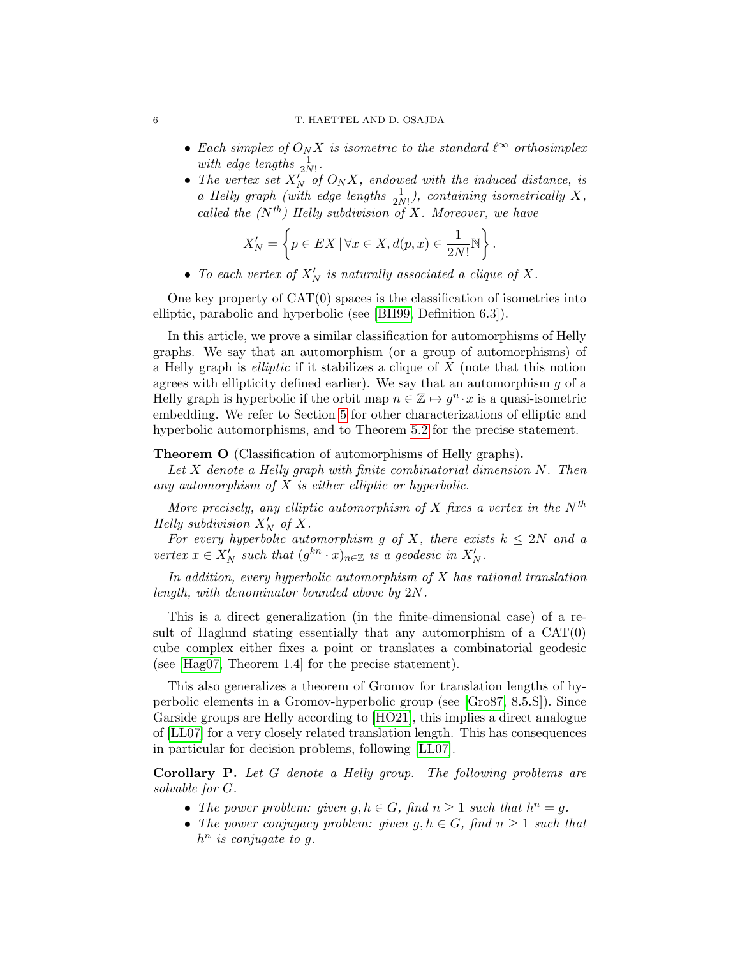#### 6 T. HAETTEL AND D. OSAJDA

- Each simplex of  $O_N X$  is isometric to the standard  $\ell^{\infty}$  orthosimplex with edge lengths  $\frac{1}{2N!}$ .
- The vertex set  $X_N^{(1)}$  of  $O_N X$ , endowed with the induced distance, is a Helly graph (with edge lengths  $\frac{1}{2N!}$ ), containing isometrically X, called the  $(N^{th})$  Helly subdivision of X. Moreover, we have

$$
X'_N = \left\{ p \in EX \mid \forall x \in X, d(p, x) \in \frac{1}{2N!} \mathbb{N} \right\}.
$$

• To each vertex of  $X'_N$  is naturally associated a clique of X.

One key property of  $CAT(0)$  spaces is the classification of isometries into elliptic, parabolic and hyperbolic (see [\[BH99,](#page-31-3) Definition 6.3]).

In this article, we prove a similar classification for automorphisms of Helly graphs. We say that an automorphism (or a group of automorphisms) of a Helly graph is *elliptic* if it stabilizes a clique of  $X$  (note that this notion agrees with ellipticity defined earlier). We say that an automorphism  $g$  of a Helly graph is hyperbolic if the orbit map  $n \in \mathbb{Z} \mapsto g^n \cdot x$  is a quasi-isometric embedding. We refer to Section [5](#page-17-0) for other characterizations of elliptic and hyperbolic automorphisms, and to Theorem [5.2](#page-18-0) for the precise statement.

### <span id="page-5-0"></span>Theorem O (Classification of automorphisms of Helly graphs).

Let  $X$  denote a Helly graph with finite combinatorial dimension  $N$ . Then any automorphism of  $X$  is either elliptic or hyperbolic.

More precisely, any elliptic automorphism of X fixes a vertex in the  $N^{th}$ Helly subdivision  $X'_N$  of X.

For every hyperbolic automorphism g of X, there exists  $k \leq 2N$  and a vertex  $x \in X'_N$  such that  $(g^{kn} \cdot x)_{n \in \mathbb{Z}}$  is a geodesic in  $X'_N$ .

In addition, every hyperbolic automorphism of X has rational translation length, with denominator bounded above by 2N.

This is a direct generalization (in the finite-dimensional case) of a result of Haglund stating essentially that any automorphism of a CAT(0) cube complex either fixes a point or translates a combinatorial geodesic (see [\[Hag07,](#page-32-2) Theorem 1.4] for the precise statement).

This also generalizes a theorem of Gromov for translation lengths of hyperbolic elements in a Gromov-hyperbolic group (see [\[Gro87,](#page-32-3) 8.5.S]). Since Garside groups are Helly according to [\[HO21\]](#page-32-4), this implies a direct analogue of [\[LL07\]](#page-33-8) for a very closely related translation length. This has consequences in particular for decision problems, following [\[LL07\]](#page-33-8).

Corollary P. Let G denote a Helly group. The following problems are solvable for G.

- The power problem: given  $g, h \in G$ , find  $n \geq 1$  such that  $h^n = g$ .
- The power conjugacy problem: given  $g, h \in G$ , find  $n \geq 1$  such that  $h^n$  is conjugate to g.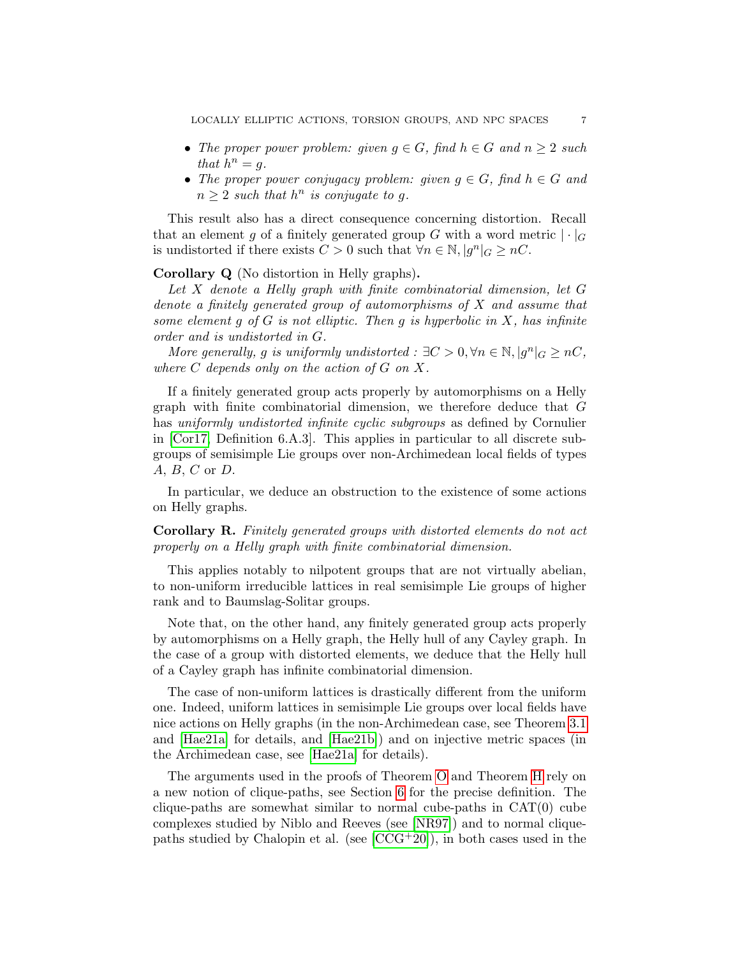- The proper power problem: given  $g \in G$ , find  $h \in G$  and  $n \geq 2$  such that  $h^n = g$ .
- The proper power conjugacy problem: given  $g \in G$ , find  $h \in G$  and  $n \geq 2$  such that  $h^n$  is conjugate to g.

This result also has a direct consequence concerning distortion. Recall that an element g of a finitely generated group G with a word metric  $|\cdot|_G$ is undistorted if there exists  $C > 0$  such that  $\forall n \in \mathbb{N}, |g^n|_G \geq nC$ .

Corollary Q (No distortion in Helly graphs).

Let X denote a Helly graph with finite combinatorial dimension, let G denote a finitely generated group of automorphisms of X and assume that some element q of G is not elliptic. Then q is hyperbolic in X, has infinite order and is undistorted in G.

More generally, g is uniformly undistorted :  $\exists C > 0, \forall n \in \mathbb{N}, |g^n|_G \geq nC$ , where  $C$  depends only on the action of  $G$  on  $X$ .

If a finitely generated group acts properly by automorphisms on a Helly graph with finite combinatorial dimension, we therefore deduce that G has uniformly undistorted infinite cyclic subgroups as defined by Cornulier in [\[Cor17,](#page-32-5) Definition 6.A.3]. This applies in particular to all discrete subgroups of semisimple Lie groups over non-Archimedean local fields of types A, B, C or D.

In particular, we deduce an obstruction to the existence of some actions on Helly graphs.

Corollary R. Finitely generated groups with distorted elements do not act properly on a Helly graph with finite combinatorial dimension.

This applies notably to nilpotent groups that are not virtually abelian, to non-uniform irreducible lattices in real semisimple Lie groups of higher rank and to Baumslag-Solitar groups.

Note that, on the other hand, any finitely generated group acts properly by automorphisms on a Helly graph, the Helly hull of any Cayley graph. In the case of a group with distorted elements, we deduce that the Helly hull of a Cayley graph has infinite combinatorial dimension.

The case of non-uniform lattices is drastically different from the uniform one. Indeed, uniform lattices in semisimple Lie groups over local fields have nice actions on Helly graphs (in the non-Archimedean case, see Theorem [3.1](#page-12-0) and [\[Hae21a\]](#page-32-6) for details, and [\[Hae21b\]](#page-32-7)) and on injective metric spaces (in the Archimedean case, see [\[Hae21a\]](#page-32-6) for details).

The arguments used in the proofs of Theorem [O](#page-5-0) and Theorem [H](#page-3-0) rely on a new notion of clique-paths, see Section [6](#page-21-0) for the precise definition. The clique-paths are somewhat similar to normal cube-paths in  $CAT(0)$  cube complexes studied by Niblo and Reeves (see [\[NR97\]](#page-33-9)) and to normal cliquepaths studied by Chalopin et al. (see  $[CCG^+20]$ ), in both cases used in the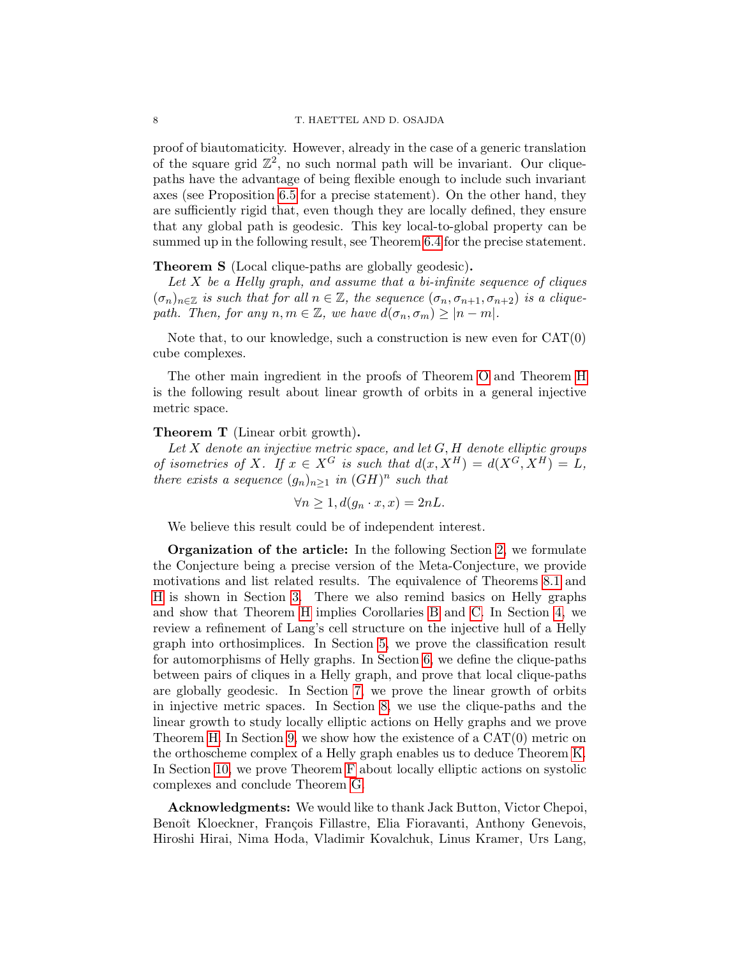proof of biautomaticity. However, already in the case of a generic translation of the square grid  $\mathbb{Z}^2$ , no such normal path will be invariant. Our cliquepaths have the advantage of being flexible enough to include such invariant axes (see Proposition [6.5](#page-24-0) for a precise statement). On the other hand, they are sufficiently rigid that, even though they are locally defined, they ensure that any global path is geodesic. This key local-to-global property can be summed up in the following result, see Theorem [6.4](#page-24-1) for the precise statement.

Theorem S (Local clique-paths are globally geodesic).

Let  $X$  be a Helly graph, and assume that a bi-infinite sequence of cliques  $(\sigma_n)_{n\in\mathbb{Z}}$  is such that for all  $n\in\mathbb{Z}$ , the sequence  $(\sigma_n, \sigma_{n+1}, \sigma_{n+2})$  is a cliquepath. Then, for any  $n, m \in \mathbb{Z}$ , we have  $d(\sigma_n, \sigma_m) \geq |n - m|$ .

Note that, to our knowledge, such a construction is new even for CAT(0) cube complexes.

The other main ingredient in the proofs of Theorem [O](#page-5-0) and Theorem [H](#page-3-0) is the following result about linear growth of orbits in a general injective metric space.

### Theorem T (Linear orbit growth).

Let  $X$  denote an injective metric space, and let  $G, H$  denote elliptic groups of isometries of X. If  $x \in X^G$  is such that  $d(x, X^H) = d(X^G, X^H) = L$ , there exists a sequence  $(g_n)_{n\geq 1}$  in  $(GH)^n$  such that

$$
\forall n \ge 1, d(g_n \cdot x, x) = 2nL.
$$

We believe this result could be of independent interest.

Organization of the article: In the following Section [2,](#page-8-0) we formulate the Conjecture being a precise version of the Meta-Conjecture, we provide motivations and list related results. The equivalence of Theorems [8.1](#page-26-0) and [H](#page-3-0) is shown in Section [3.](#page-12-1) There we also remind basics on Helly graphs and show that Theorem [H](#page-3-0) implies Corollaries [B](#page-2-0) and [C.](#page-2-2) In Section [4,](#page-14-0) we review a refinement of Lang's cell structure on the injective hull of a Helly graph into orthosimplices. In Section [5,](#page-17-0) we prove the classification result for automorphisms of Helly graphs. In Section [6,](#page-21-0) we define the clique-paths between pairs of cliques in a Helly graph, and prove that local clique-paths are globally geodesic. In Section [7,](#page-25-0) we prove the linear growth of orbits in injective metric spaces. In Section [8,](#page-26-1) we use the clique-paths and the linear growth to study locally elliptic actions on Helly graphs and we prove Theorem [H.](#page-3-0) In Section [9,](#page-28-0) we show how the existence of a CAT(0) metric on the orthoscheme complex of a Helly graph enables us to deduce Theorem [K.](#page-4-1) In Section [10,](#page-28-1) we prove Theorem [F](#page-2-1) about locally elliptic actions on systolic complexes and conclude Theorem [G.](#page-3-1)

Acknowledgments: We would like to thank Jack Button, Victor Chepoi, Benoît Kloeckner, François Fillastre, Elia Fioravanti, Anthony Genevois, Hiroshi Hirai, Nima Hoda, Vladimir Kovalchuk, Linus Kramer, Urs Lang,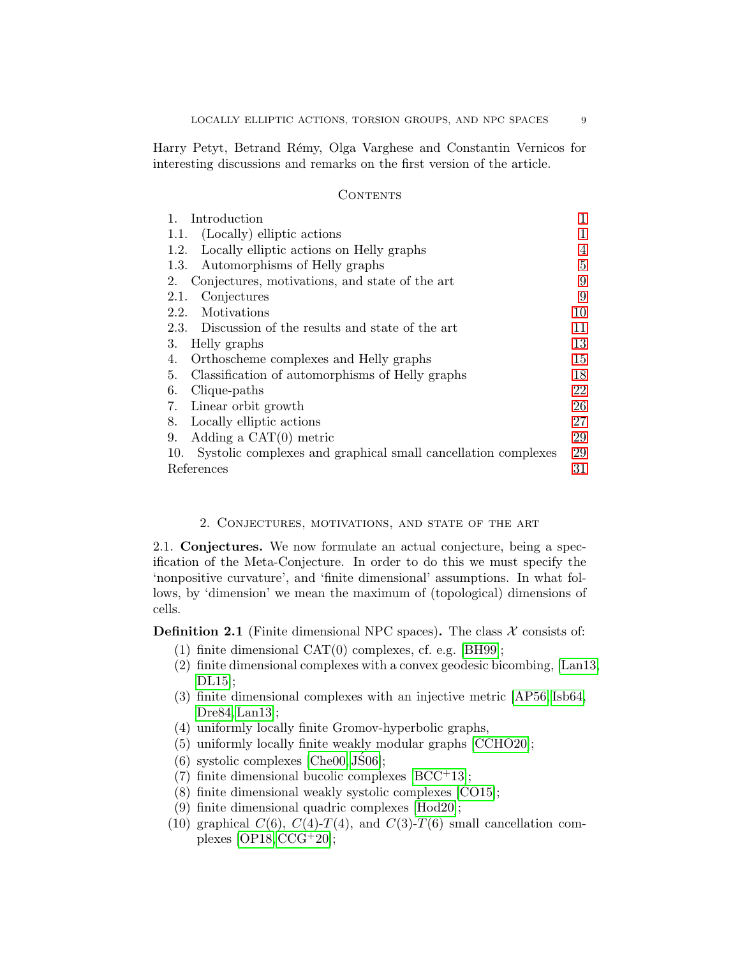Harry Petyt, Betrand R´emy, Olga Varghese and Constantin Vernicos for interesting discussions and remarks on the first version of the article.

## **CONTENTS**

| Introduction                                                         | 1  |
|----------------------------------------------------------------------|----|
| 1.1. (Locally) elliptic actions                                      | 1  |
| Locally elliptic actions on Helly graphs<br>1.2.                     | 4  |
| Automorphisms of Helly graphs<br>1.3.                                | 5  |
| Conjectures, motivations, and state of the art<br>2.                 | 9  |
| Conjectures<br>2.1.                                                  | 9  |
| 2.2.<br>Motivations                                                  | 10 |
| 2.3. Discussion of the results and state of the art                  | 11 |
| 3.<br>Helly graphs                                                   | 13 |
| Orthoscheme complexes and Helly graphs<br>4.                         | 15 |
| Classification of automorphisms of Helly graphs<br>5.                | 18 |
| 6.<br>Clique-paths                                                   | 22 |
| Linear orbit growth<br>7.                                            | 26 |
| Locally elliptic actions<br>8.                                       | 27 |
| Adding a $CAT(0)$ metric<br>9.                                       | 29 |
| Systolic complexes and graphical small cancellation complexes<br>10. | 29 |
| References                                                           | 31 |

#### 2. Conjectures, motivations, and state of the art

<span id="page-8-1"></span><span id="page-8-0"></span>2.1. Conjectures. We now formulate an actual conjecture, being a specification of the Meta-Conjecture. In order to do this we must specify the 'nonpositive curvature', and 'finite dimensional' assumptions. In what follows, by 'dimension' we mean the maximum of (topological) dimensions of cells.

**Definition 2.1** (Finite dimensional NPC spaces). The class  $\mathcal{X}$  consists of:

- (1) finite dimensional CAT(0) complexes, cf. e.g. [\[BH99\]](#page-31-3);
- (2) finite dimensional complexes with a convex geodesic bicombing, [\[Lan13,](#page-33-0)  $DL15$ ;
- (3) finite dimensional complexes with an injective metric [\[AP56,](#page-31-4) [Isb64,](#page-33-10) [Dre84,](#page-32-1) [Lan13\]](#page-33-0);
- (4) uniformly locally finite Gromov-hyperbolic graphs,
- <span id="page-8-2"></span>(5) uniformly locally finite weakly modular graphs [\[CCHO20\]](#page-31-5);
- <span id="page-8-3"></span> $(6)$  systolic complexes [\[Che00,](#page-31-6) [JS06\]](#page-33-11);
- (7) finite dimensional bucolic complexes  $[BCC^+13]$ ;
- (8) finite dimensional weakly systolic complexes [\[CO15\]](#page-31-8);
- (9) finite dimensional quadric complexes [\[Hod20\]](#page-32-9);
- <span id="page-8-4"></span>(10) graphical  $C(6)$ ,  $C(4)$ - $T(4)$ , and  $C(3)$ - $T(6)$  small cancellation complexes  $[OP18, CCG+20]$  $[OP18, CCG+20]$  $[OP18, CCG+20]$ ;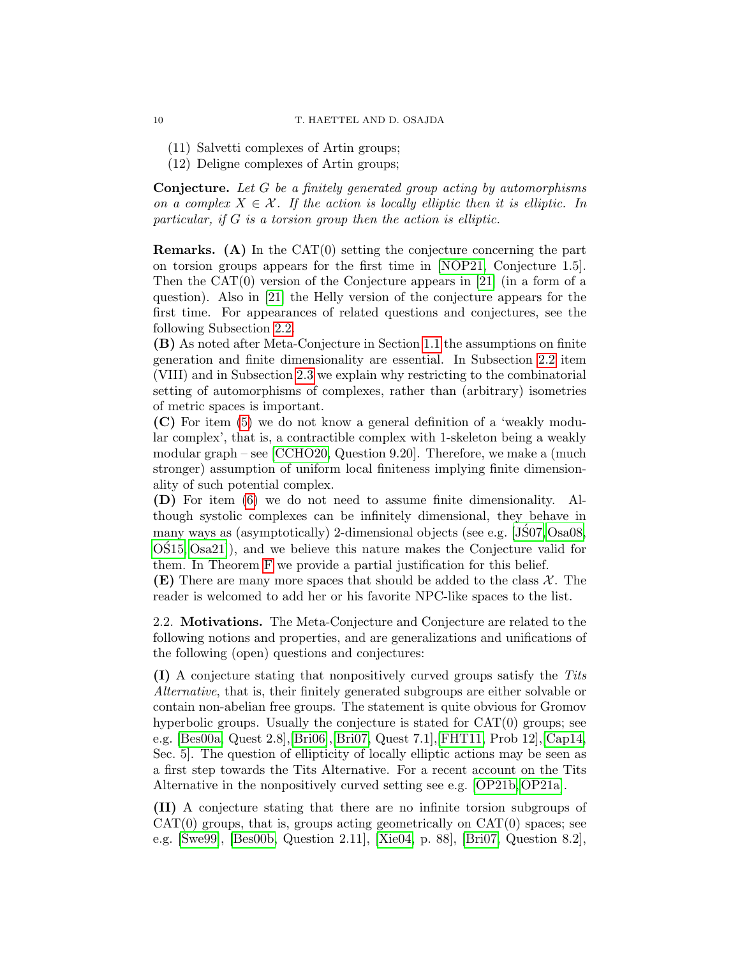(11) Salvetti complexes of Artin groups;

(12) Deligne complexes of Artin groups;

**Conjecture.** Let G be a finitely generated group acting by automorphisms on a complex  $X \in \mathcal{X}$ . If the action is locally elliptic then it is elliptic. In particular, if G is a torsion group then the action is elliptic.

**Remarks.** (A) In the  $CAT(0)$  setting the conjecture concerning the part on torsion groups appears for the first time in [\[NOP21,](#page-33-7) Conjecture 1.5]. Then the  $CAT(0)$  version of the Conjecture appears in [\[21\]](#page-33-12) (in a form of a question). Also in [\[21\]](#page-33-12) the Helly version of the conjecture appears for the first time. For appearances of related questions and conjectures, see the following Subsection [2.2.](#page-9-0)

(B) As noted after Meta-Conjecture in Section [1.1](#page-0-1) the assumptions on finite generation and finite dimensionality are essential. In Subsection [2.2](#page-9-0) item (VIII) and in Subsection [2.3](#page-10-0) we explain why restricting to the combinatorial setting of automorphisms of complexes, rather than (arbitrary) isometries of metric spaces is important.

(C) For item [\(5\)](#page-8-2) we do not know a general definition of a 'weakly modular complex', that is, a contractible complex with 1-skeleton being a weakly modular graph – see [\[CCHO20,](#page-31-5) Question 9.20]. Therefore, we make a (much stronger) assumption of uniform local finiteness implying finite dimensionality of such potential complex.

(D) For item [\(6\)](#page-8-3) we do not need to assume finite dimensionality. Although systolic complexes can be infinitely dimensional, they behave in many ways as (asymptotically) 2-dimensional objects (see e.g. [\[JS07,](#page-33-13) [Osa08,](#page-34-6) [OS15,](#page-34-7) [Osa21\]](#page-34-8)), and we believe this nature makes the Conjecture valid for ´ them. In Theorem [F](#page-2-1) we provide a partial justification for this belief.

**(E)** There are many more spaces that should be added to the class  $\mathcal{X}$ . The reader is welcomed to add her or his favorite NPC-like spaces to the list.

<span id="page-9-0"></span>2.2. Motivations. The Meta-Conjecture and Conjecture are related to the following notions and properties, and are generalizations and unifications of the following (open) questions and conjectures:

(I) A conjecture stating that nonpositively curved groups satisfy the Tits Alternative, that is, their finitely generated subgroups are either solvable or contain non-abelian free groups. The statement is quite obvious for Gromov hyperbolic groups. Usually the conjecture is stated for CAT(0) groups; see e.g. [\[Bes00a,](#page-31-9) Quest 2.8],[\[Bri06\]](#page-31-10),[\[Bri07,](#page-31-11) Quest 7.1],[\[FHT11,](#page-32-10) Prob 12],[\[Cap14,](#page-31-12) Sec. 5]. The question of ellipticity of locally elliptic actions may be seen as a first step towards the Tits Alternative. For a recent account on the Tits Alternative in the nonpositively curved setting see e.g. [\[OP21b,](#page-34-9) [OP21a\]](#page-34-10).

(II) A conjecture stating that there are no infinite torsion subgroups of  $CAT(0)$  groups, that is, groups acting geometrically on  $CAT(0)$  spaces; see e.g. [\[Swe99\]](#page-34-11), [\[Bes00b,](#page-31-13) Question 2.11], [\[Xie04,](#page-34-12) p. 88], [\[Bri07,](#page-31-11) Question 8.2],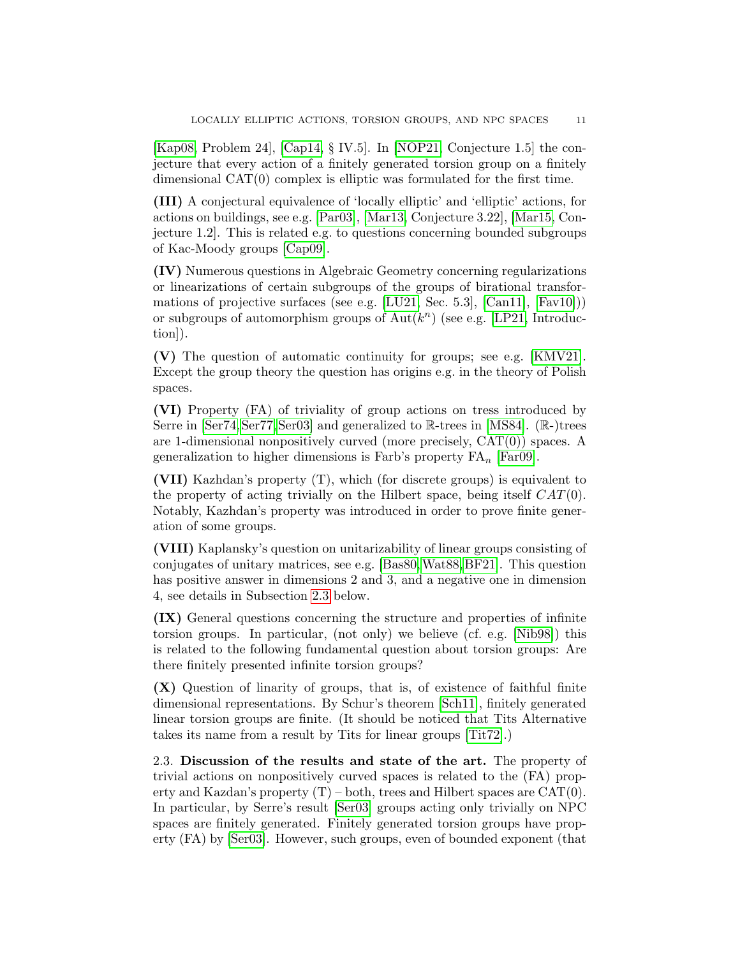[\[Kap08,](#page-33-14) Problem 24], [\[Cap14,](#page-31-12) § IV.5]. In [\[NOP21,](#page-33-7) Conjecture 1.5] the conjecture that every action of a finitely generated torsion group on a finitely dimensional CAT(0) complex is elliptic was formulated for the first time.

(III) A conjectural equivalence of 'locally elliptic' and 'elliptic' actions, for actions on buildings, see e.g. [\[Par03\]](#page-34-4), [\[Mar13,](#page-33-6) Conjecture 3.22], [\[Mar15,](#page-33-15) Conjecture 1.2]. This is related e.g. to questions concerning bounded subgroups of Kac-Moody groups [\[Cap09\]](#page-31-14).

(IV) Numerous questions in Algebraic Geometry concerning regularizations or linearizations of certain subgroups of the groups of birational transfor-mations of projective surfaces (see e.g. [\[LU21,](#page-33-16) Sec. 5.3],  $[Can11], [Fav10])$  $[Can11], [Fav10])$  $[Can11], [Fav10])$ ) or subgroups of automorphism groups of  $\text{Aut}(k^n)$  (see e.g. [\[LP21,](#page-33-17) Introduction]).

(V) The question of automatic continuity for groups; see e.g. [\[KMV21\]](#page-33-4). Except the group theory the question has origins e.g. in the theory of Polish spaces.

(VI) Property (FA) of triviality of group actions on tress introduced by Serre in [\[Ser74,](#page-34-13) [Ser77,](#page-34-14) [Ser03\]](#page-34-0) and generalized to R-trees in [\[MS84\]](#page-33-18). (R-)trees are 1-dimensional nonpositively curved (more precisely, CAT(0)) spaces. A generalization to higher dimensions is Farb's property  $FA_n$  [\[Far09\]](#page-32-12).

(VII) Kazhdan's property (T), which (for discrete groups) is equivalent to the property of acting trivially on the Hilbert space, being itself  $CAT(0)$ . Notably, Kazhdan's property was introduced in order to prove finite generation of some groups.

(VIII) Kaplansky's question on unitarizability of linear groups consisting of conjugates of unitary matrices, see e.g. [\[Bas80,](#page-31-16)[Wat88,](#page-34-15)[BF21\]](#page-31-2). This question has positive answer in dimensions 2 and 3, and a negative one in dimension 4, see details in Subsection [2.3](#page-10-0) below.

(IX) General questions concerning the structure and properties of infinite torsion groups. In particular, (not only) we believe (cf. e.g. [\[Nib98\]](#page-33-19)) this is related to the following fundamental question about torsion groups: Are there finitely presented infinite torsion groups?

(X) Question of linarity of groups, that is, of existence of faithful finite dimensional representations. By Schur's theorem [\[Sch11\]](#page-34-16), finitely generated linear torsion groups are finite. (It should be noticed that Tits Alternative takes its name from a result by Tits for linear groups [\[Tit72\]](#page-34-17).)

<span id="page-10-0"></span>2.3. Discussion of the results and state of the art. The property of trivial actions on nonpositively curved spaces is related to the (FA) property and Kazdan's property  $(T)$  – both, trees and Hilbert spaces are  $CAT(0)$ . In particular, by Serre's result [\[Ser03\]](#page-34-0) groups acting only trivially on NPC spaces are finitely generated. Finitely generated torsion groups have property (FA) by [\[Ser03\]](#page-34-0). However, such groups, even of bounded exponent (that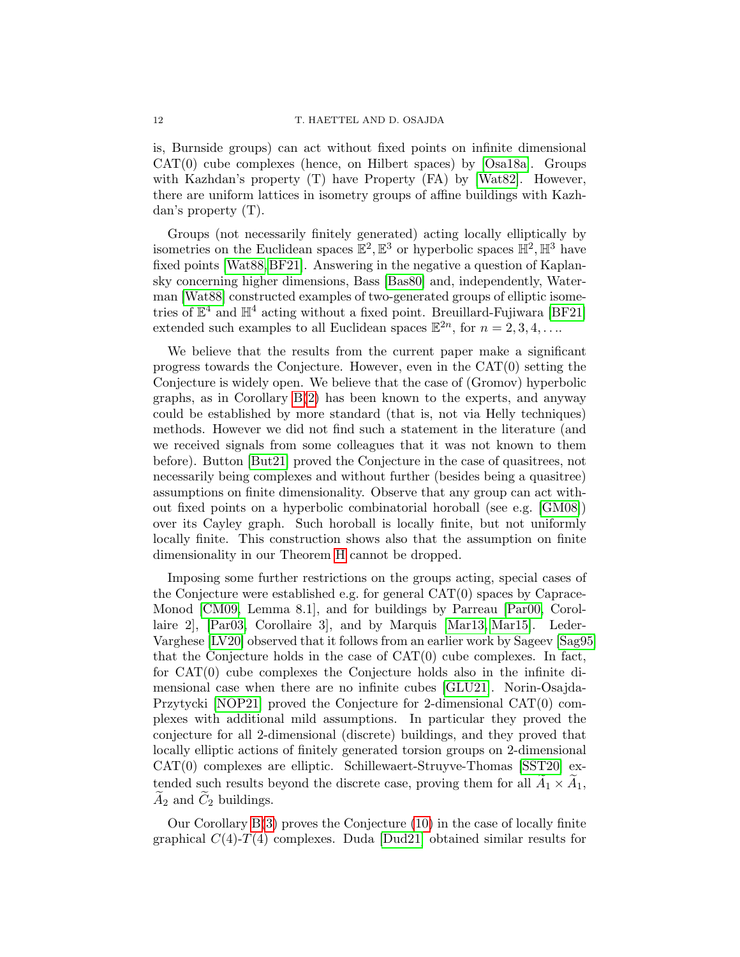is, Burnside groups) can act without fixed points on infinite dimensional CAT(0) cube complexes (hence, on Hilbert spaces) by [\[Osa18a\]](#page-34-1). Groups with Kazhdan's property (T) have Property (FA) by [\[Wat82\]](#page-34-18). However, there are uniform lattices in isometry groups of affine buildings with Kazhdan's property (T).

Groups (not necessarily finitely generated) acting locally elliptically by isometries on the Euclidean spaces  $\mathbb{E}^2$ ,  $\mathbb{E}^3$  or hyperbolic spaces  $\mathbb{H}^2$ ,  $\mathbb{H}^3$  have fixed points [\[Wat88,](#page-34-15)[BF21\]](#page-31-2). Answering in the negative a question of Kaplansky concerning higher dimensions, Bass [\[Bas80\]](#page-31-16) and, independently, Waterman [\[Wat88\]](#page-34-15) constructed examples of two-generated groups of elliptic isometries of  $\mathbb{E}^4$  and  $\mathbb{H}^4$  acting without a fixed point. Breuillard-Fujiwara [\[BF21\]](#page-31-2) extended such examples to all Euclidean spaces  $\mathbb{E}^{2n}$ , for  $n = 2, 3, 4, \ldots$ 

We believe that the results from the current paper make a significant progress towards the Conjecture. However, even in the  $CAT(0)$  setting the Conjecture is widely open. We believe that the case of (Gromov) hyperbolic graphs, as in Corollary [B\(](#page-2-0)[2\)](#page-2-3) has been known to the experts, and anyway could be established by more standard (that is, not via Helly techniques) methods. However we did not find such a statement in the literature (and we received signals from some colleagues that it was not known to them before). Button [\[But21\]](#page-31-17) proved the Conjecture in the case of quasitrees, not necessarily being complexes and without further (besides being a quasitree) assumptions on finite dimensionality. Observe that any group can act without fixed points on a hyperbolic combinatorial horoball (see e.g. [\[GM08\]](#page-32-13)) over its Cayley graph. Such horoball is locally finite, but not uniformly locally finite. This construction shows also that the assumption on finite dimensionality in our Theorem [H](#page-3-0) cannot be dropped.

Imposing some further restrictions on the groups acting, special cases of the Conjecture were established e.g. for general CAT(0) spaces by Caprace-Monod [\[CM09,](#page-31-18) Lemma 8.1], and for buildings by Parreau [\[Par00,](#page-34-19) Corollaire 2], [\[Par03,](#page-34-4) Corollaire 3], and by Marquis [\[Mar13,](#page-33-6) [Mar15\]](#page-33-15). Leder-Varghese [\[LV20\]](#page-33-5) observed that it follows from an earlier work by Sageev [\[Sag95\]](#page-34-20) that the Conjecture holds in the case of  $CAT(0)$  cube complexes. In fact, for CAT(0) cube complexes the Conjecture holds also in the infinite dimensional case when there are no infinite cubes [\[GLU21\]](#page-32-14). Norin-Osajda-Przytycki [\[NOP21\]](#page-33-7) proved the Conjecture for 2-dimensional CAT(0) complexes with additional mild assumptions. In particular they proved the conjecture for all 2-dimensional (discrete) buildings, and they proved that locally elliptic actions of finitely generated torsion groups on 2-dimensional CAT(0) complexes are elliptic. Schillewaert-Struyve-Thomas [\[SST20\]](#page-34-21) extended such results beyond the discrete case, proving them for all  $\tilde{A}_1 \times \tilde{A}_1$ ,  $\widetilde{A}_2$  and  $\widetilde{C}_2$  buildings.

Our Corollary [B](#page-2-0)[\(3\)](#page-2-4) proves the Conjecture [\(10\)](#page-8-4) in the case of locally finite graphical  $C(4)$ - $T(4)$  complexes. Duda [\[Dud21\]](#page-32-15) obtained similar results for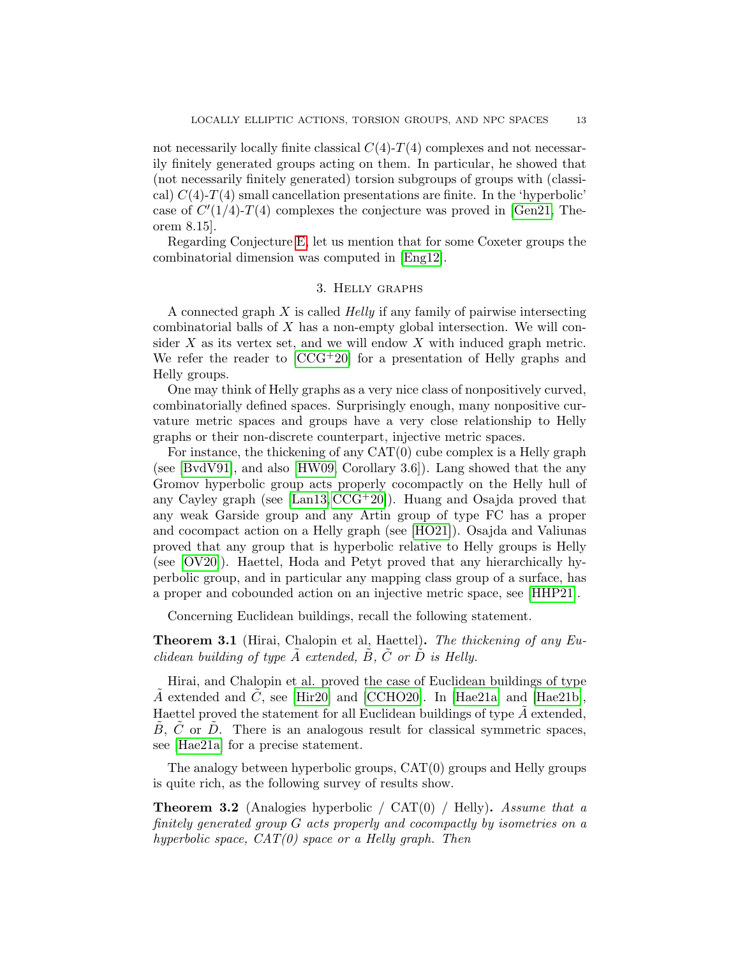not necessarily locally finite classical  $C(4)-T(4)$  complexes and not necessarily finitely generated groups acting on them. In particular, he showed that (not necessarily finitely generated) torsion subgroups of groups with (classical)  $C(4)$ - $T(4)$  small cancellation presentations are finite. In the 'hyperbolic' case of  $C'(1/4)$ -T(4) complexes the conjecture was proved in [\[Gen21,](#page-32-16) Theorem 8.15].

Regarding Conjecture [E,](#page-2-5) let us mention that for some Coxeter groups the combinatorial dimension was computed in [\[Eng12\]](#page-32-17).

## 3. Helly graphs

<span id="page-12-1"></span>A connected graph  $X$  is called *Helly* if any family of pairwise intersecting combinatorial balls of X has a non-empty global intersection. We will consider  $X$  as its vertex set, and we will endow  $X$  with induced graph metric. We refer the reader to  $[CCG^+20]$  for a presentation of Helly graphs and Helly groups.

One may think of Helly graphs as a very nice class of nonpositively curved, combinatorially defined spaces. Surprisingly enough, many nonpositive curvature metric spaces and groups have a very close relationship to Helly graphs or their non-discrete counterpart, injective metric spaces.

For instance, the thickening of any CAT(0) cube complex is a Helly graph (see [\[BvdV91\]](#page-31-19), and also [\[HW09,](#page-33-20) Corollary 3.6]). Lang showed that the any Gromov hyperbolic group acts properly cocompactly on the Helly hull of any Cayley graph (see [\[Lan13,](#page-33-0)  $CCG+20$ ]). Huang and Osajda proved that any weak Garside group and any Artin group of type FC has a proper and cocompact action on a Helly graph (see [\[HO21\]](#page-32-4)). Osajda and Valiunas proved that any group that is hyperbolic relative to Helly groups is Helly (see [\[OV20\]](#page-34-22)). Haettel, Hoda and Petyt proved that any hierarchically hyperbolic group, and in particular any mapping class group of a surface, has a proper and cobounded action on an injective metric space, see [\[HHP21\]](#page-32-18).

Concerning Euclidean buildings, recall the following statement.

<span id="page-12-0"></span>Theorem 3.1 (Hirai, Chalopin et al, Haettel). The thickening of any Euclidean building of type  $\tilde{A}$  extended,  $\tilde{B}$ ,  $\tilde{C}$  or  $\tilde{D}$  is Helly.

Hirai, and Chalopin et al. proved the case of Euclidean buildings of type A extended and C, see [\[Hir20\]](#page-32-19) and [\[CCHO20\]](#page-31-5). In [\[Hae21a\]](#page-32-6) and [\[Hae21b\]](#page-32-7), Haettel proved the statement for all Euclidean buildings of type  $A$  extended,  $\ddot{B}$ ,  $\ddot{C}$  or  $\ddot{D}$ . There is an analogous result for classical symmetric spaces, see [\[Hae21a\]](#page-32-6) for a precise statement.

The analogy between hyperbolic groups, CAT(0) groups and Helly groups is quite rich, as the following survey of results show.

**Theorem 3.2** (Analogies hyperbolic /  $CAT(0)$  / Helly). Assume that a finitely generated group G acts properly and cocompactly by isometries on a hyperbolic space,  $CAT(0)$  space or a Helly graph. Then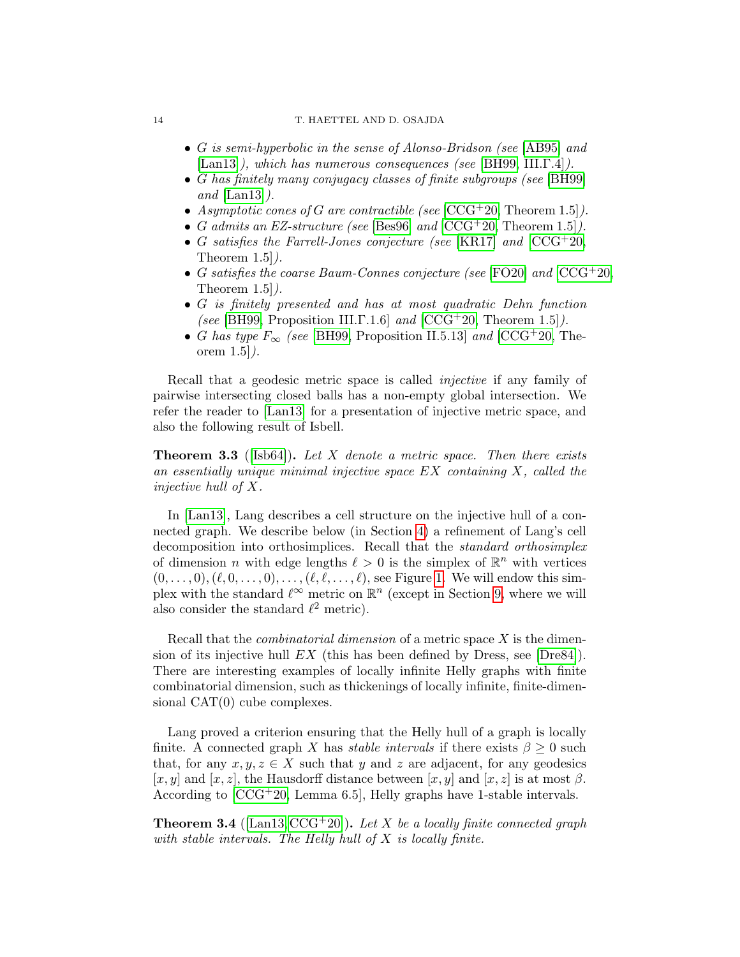#### 14 T. HAETTEL AND D. OSAJDA

- G is semi-hyperbolic in the sense of Alonso-Bridson (see [\[AB95\]](#page-30-1) and [\[Lan13\]](#page-33-0)), which has numerous consequences (see [\[BH99,](#page-31-3) III.Γ.4]).
- G has finitely many conjugacy classes of finite subgroups (see [\[BH99\]](#page-31-3) and  $\text{Lan}13$ .
- Asymptotic cones of G are contractible (see  $[CCG+20, Theorem 1.5]$  $[CCG+20, Theorem 1.5]$ ).
- G admits an EZ-structure (see [\[Bes96\]](#page-31-20) and  $[CCG^+20, Theorem 1.5]$  $[CCG^+20, Theorem 1.5]$ ).
- G satisfies the Farrell-Jones conjecture (see [\[KR17\]](#page-33-21) and  $[CCG^+20,$  $[CCG^+20,$ Theorem 1.5]).
- G satisfies the coarse Baum-Connes conjecture (see [\[FO20\]](#page-32-20) and  $[CCG^+20,$  $[CCG^+20,$ Theorem  $1.5$ .
- G is finitely presented and has at most quadratic Dehn function (see [\[BH99,](#page-31-3) Proposition III. $\Gamma$ .1.6] and  $[CCG^+20,$  $[CCG^+20,$  Theorem 1.5]).
- G has type  $F_{\infty}$  (see [\[BH99,](#page-31-3) Proposition II.5.13] and [\[CCG](#page-31-0)+20, Theorem 1.5]).

Recall that a geodesic metric space is called injective if any family of pairwise intersecting closed balls has a non-empty global intersection. We refer the reader to [\[Lan13\]](#page-33-0) for a presentation of injective metric space, and also the following result of Isbell.

**Theorem 3.3** ([\[Isb64\]](#page-33-10)). Let X denote a metric space. Then there exists an essentially unique minimal injective space  $EX$  containing  $X$ , called the injective hull of X.

In [\[Lan13\]](#page-33-0), Lang describes a cell structure on the injective hull of a connected graph. We describe below (in Section [4\)](#page-14-0) a refinement of Lang's cell decomposition into orthosimplices. Recall that the standard orthosimplex of dimension *n* with edge lengths  $\ell > 0$  is the simplex of  $\mathbb{R}^n$  with vertices  $(0, \ldots, 0), (\ell, 0, \ldots, 0), \ldots, (\ell, \ell, \ldots, \ell)$ , see Figure [1.](#page-14-2) We will endow this simplex with the standard  $\ell^{\infty}$  metric on  $\mathbb{R}^n$  (except in Section [9,](#page-28-0) where we will also consider the standard  $\ell^2$  metric).

Recall that the *combinatorial dimension* of a metric space  $X$  is the dimension of its injective hull  $EX$  (this has been defined by Dress, see [\[Dre84\]](#page-32-1)). There are interesting examples of locally infinite Helly graphs with finite combinatorial dimension, such as thickenings of locally infinite, finite-dimensional CAT(0) cube complexes.

Lang proved a criterion ensuring that the Helly hull of a graph is locally finite. A connected graph X has *stable intervals* if there exists  $\beta \geq 0$  such that, for any  $x, y, z \in X$  such that y and z are adjacent, for any geodesics [x, y] and [x, z], the Hausdorff distance between [x, y] and [x, z] is at most  $\beta$ . According to [\[CCG](#page-31-0)+20, Lemma 6.5], Helly graphs have 1-stable intervals.

**Theorem 3.4** ([\[Lan13,](#page-33-0) [CCG](#page-31-0)+20]). Let X be a locally finite connected graph with stable intervals. The Helly hull of  $X$  is locally finite.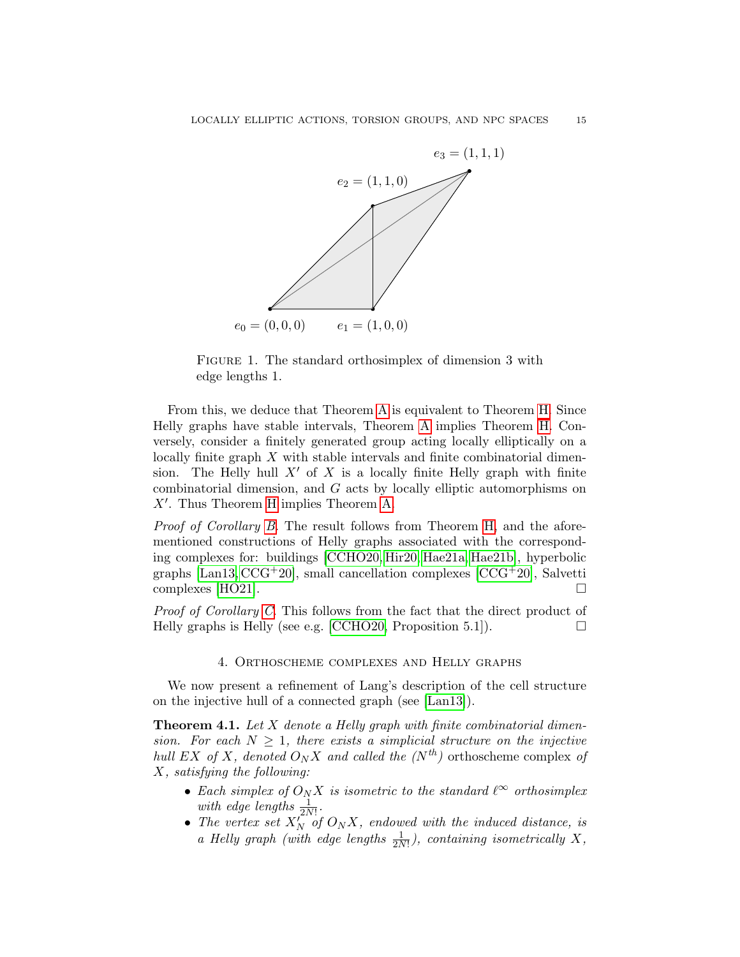

<span id="page-14-2"></span>FIGURE 1. The standard orthosimplex of dimension 3 with edge lengths 1.

From this, we deduce that Theorem [A](#page-1-0) is equivalent to Theorem [H.](#page-3-0) Since Helly graphs have stable intervals, Theorem [A](#page-1-0) implies Theorem [H.](#page-3-0) Conversely, consider a finitely generated group acting locally elliptically on a locally finite graph X with stable intervals and finite combinatorial dimension. The Helly hull  $X'$  of X is a locally finite Helly graph with finite combinatorial dimension, and G acts by locally elliptic automorphisms on  $X'$ . Thus Theorem [H](#page-3-0) implies Theorem [A.](#page-1-0)

Proof of Corollary [B.](#page-2-0) The result follows from Theorem [H,](#page-3-0) and the aforementioned constructions of Helly graphs associated with the corresponding complexes for: buildings [\[CCHO20,](#page-31-5) [Hir20,](#page-32-19) [Hae21a,](#page-32-6) [Hae21b\]](#page-32-7), hyperbolic graphs  $\left[ \text{Lan13}, \text{CCG}^+20 \right]$ , small cancellation complexes  $\left[ \text{CCG}^+20 \right]$ , Salvetti complexes [\[HO21\]](#page-32-4).  $\Box$ 

Proof of Corollary [C.](#page-2-2) This follows from the fact that the direct product of Helly graphs is Helly (see e.g. [\[CCHO20,](#page-31-5) Proposition 5.1]).  $\Box$ 

## 4. Orthoscheme complexes and Helly graphs

<span id="page-14-0"></span>We now present a refinement of Lang's description of the cell structure on the injective hull of a connected graph (see [\[Lan13\]](#page-33-0)).

<span id="page-14-1"></span>**Theorem 4.1.** Let X denote a Helly graph with finite combinatorial dimension. For each  $N \geq 1$ , there exists a simplicial structure on the injective hull EX of X, denoted  $O_N X$  and called the  $(N<sup>th</sup>)$  orthoscheme complex of X, satisfying the following:

- Each simplex of  $O_N X$  is isometric to the standard  $\ell^{\infty}$  orthosimplex with edge lengths  $\frac{1}{2N!}$ .
- The vertex set  $X_N^{(1)}$  of  $O_N X$ , endowed with the induced distance, is a Helly graph (with edge lengths  $\frac{1}{2N!}$ ), containing isometrically X,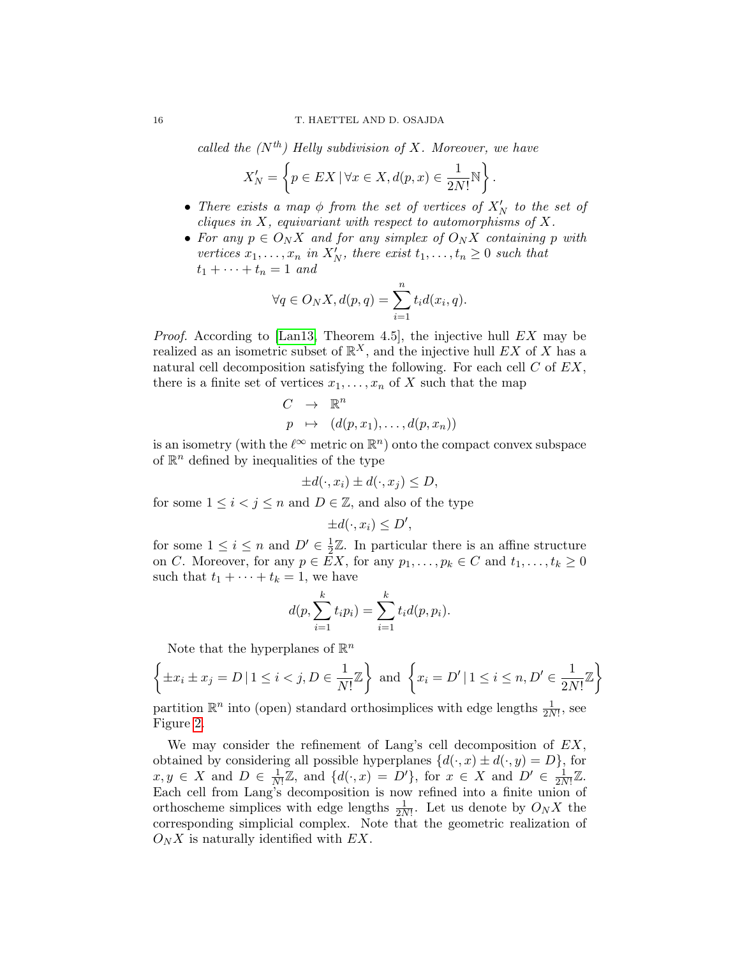called the  $(N^{th})$  Helly subdivision of X. Moreover, we have

$$
X'_N = \left\{ p \in EX \, | \, \forall x \in X, d(p, x) \in \frac{1}{2N!} \mathbb{N} \right\}.
$$

- There exists a map  $\phi$  from the set of vertices of  $X'_N$  to the set of cliques in  $X$ , equivariant with respect to automorphisms of  $X$ .
- For any  $p \in O_N X$  and for any simplex of  $O_N X$  containing p with vertices  $x_1, \ldots, x_n$  in  $X'_N$ , there exist  $t_1, \ldots, t_n \geq 0$  such that  $t_1 + \cdots + t_n = 1$  and

$$
\forall q \in O_N X, d(p, q) = \sum_{i=1}^n t_i d(x_i, q).
$$

*Proof.* According to [\[Lan13,](#page-33-0) Theorem 4.5], the injective hull  $EX$  may be realized as an isometric subset of  $\mathbb{R}^X$ , and the injective hull EX of X has a natural cell decomposition satisfying the following. For each cell  $C$  of  $EX$ , there is a finite set of vertices  $x_1, \ldots, x_n$  of X such that the map

$$
C \rightarrow \mathbb{R}^n
$$
  

$$
p \mapsto (d(p, x_1), \dots, d(p, x_n))
$$

is an isometry (with the  $\ell^{\infty}$  metric on  $\mathbb{R}^n$ ) onto the compact convex subspace of  $\mathbb{R}^n$  defined by inequalities of the type

$$
\pm d(\cdot, x_i) \pm d(\cdot, x_j) \le D,
$$

for some  $1 \leq i < j \leq n$  and  $D \in \mathbb{Z}$ , and also of the type

$$
\pm d(\cdot, x_i) \le D',
$$

for some  $1 \leq i \leq n$  and  $D' \in \frac{1}{2}$  $\frac{1}{2}\mathbb{Z}$ . In particular there is an affine structure on C. Moreover, for any  $p \in EX$ , for any  $p_1, \ldots, p_k \in C$  and  $t_1, \ldots, t_k \geq 0$ such that  $t_1 + \cdots + t_k = 1$ , we have

$$
d(p, \sum_{i=1}^{k} t_i p_i) = \sum_{i=1}^{k} t_i d(p, p_i).
$$

Note that the hyperplanes of  $\mathbb{R}^n$ 

$$
\left\{\pm x_i \pm x_j = D \, | \, 1 \le i < j, D \in \frac{1}{N!} \mathbb{Z} \right\} \text{ and } \left\{ x_i = D' \, | \, 1 \le i \le n, D' \in \frac{1}{2N!} \mathbb{Z} \right\}
$$

partition  $\mathbb{R}^n$  into (open) standard orthosimplices with edge lengths  $\frac{1}{2N!}$ , see Figure [2.](#page-16-0)

We may consider the refinement of Lang's cell decomposition of  $EX$ , obtained by considering all possible hyperplanes  $\{d(\cdot, x) \pm d(\cdot, y) = D\}$ , for  $x, y \in X$  and  $D \in \frac{1}{N}$  $\frac{1}{N!}\mathbb{Z}$ , and  $\{d(\cdot,x)=D'\}$ , for  $x \in X$  and  $D' \in \frac{1}{2N}$  $\frac{1}{2N!}\mathbb{Z}.$ Each cell from Lang's decomposition is now refined into a finite union of orthoscheme simplices with edge lengths  $\frac{1}{2N!}$ . Let us denote by  $O_N X$  the corresponding simplicial complex. Note that the geometric realization of  $O_N X$  is naturally identified with  $EX$ .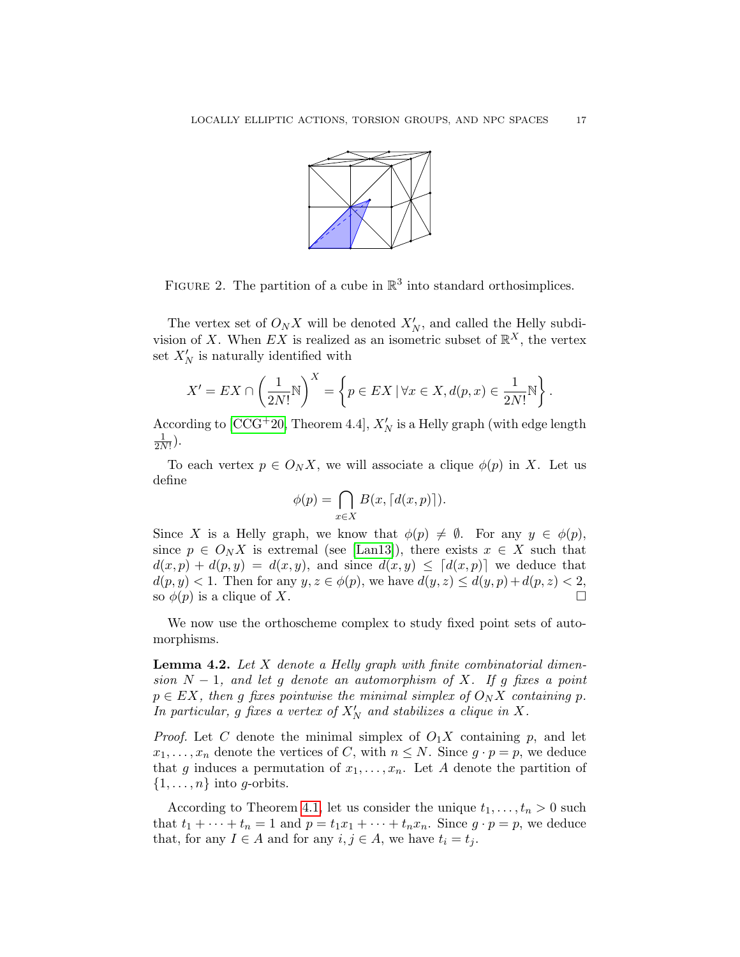

<span id="page-16-0"></span>FIGURE 2. The partition of a cube in  $\mathbb{R}^3$  into standard orthosimplices.

The vertex set of  $O_N X$  will be denoted  $X'_N$ , and called the Helly subdivision of X. When EX is realized as an isometric subset of  $\mathbb{R}^X$ , the vertex set  $X'_N$  is naturally identified with

$$
X' = EX \cap \left(\frac{1}{2N!} \mathbb{N}\right)^X = \left\{ p \in EX \mid \forall x \in X, d(p, x) \in \frac{1}{2N!} \mathbb{N} \right\}.
$$

According to [\[CCG](#page-31-0)+20, Theorem 4.4],  $X'_N$  is a Helly graph (with edge length 1  $\frac{1}{2N!}$ ).

To each vertex  $p \in O_N X$ , we will associate a clique  $\phi(p)$  in X. Let us define

$$
\phi(p) = \bigcap_{x \in X} B(x, \lceil d(x, p) \rceil).
$$

Since X is a Helly graph, we know that  $\phi(p) \neq \emptyset$ . For any  $y \in \phi(p)$ , since  $p \in O_N X$  is extremal (see [\[Lan13\]](#page-33-0)), there exists  $x \in X$  such that  $d(x, p) + d(p, y) = d(x, y)$ , and since  $d(x, y) \leq d(x, y)$  we deduce that  $d(p, y) < 1$ . Then for any  $y, z \in \phi(p)$ , we have  $d(y, z) \leq d(y, p) + d(p, z) < 2$ , so  $\phi(p)$  is a clique of X.

We now use the orthoscheme complex to study fixed point sets of automorphisms.

<span id="page-16-1"></span>**Lemma 4.2.** Let  $X$  denote a Helly graph with finite combinatorial dimension  $N-1$ , and let g denote an automorphism of X. If g fixes a point  $p \in EX$ , then g fixes pointwise the minimal simplex of  $O_N X$  containing p. In particular, g fixes a vertex of  $X'_N$  and stabilizes a clique in X.

*Proof.* Let C denote the minimal simplex of  $O_1X$  containing p, and let  $x_1, \ldots, x_n$  denote the vertices of C, with  $n \leq N$ . Since  $g \cdot p = p$ , we deduce that g induces a permutation of  $x_1, \ldots, x_n$ . Let A denote the partition of  $\{1, \ldots, n\}$  into g-orbits.

According to Theorem [4.1,](#page-14-1) let us consider the unique  $t_1, \ldots, t_n > 0$  such that  $t_1 + \cdots + t_n = 1$  and  $p = t_1x_1 + \cdots + t_nx_n$ . Since  $g \cdot p = p$ , we deduce that, for any  $I \in A$  and for any  $i, j \in A$ , we have  $t_i = t_j$ .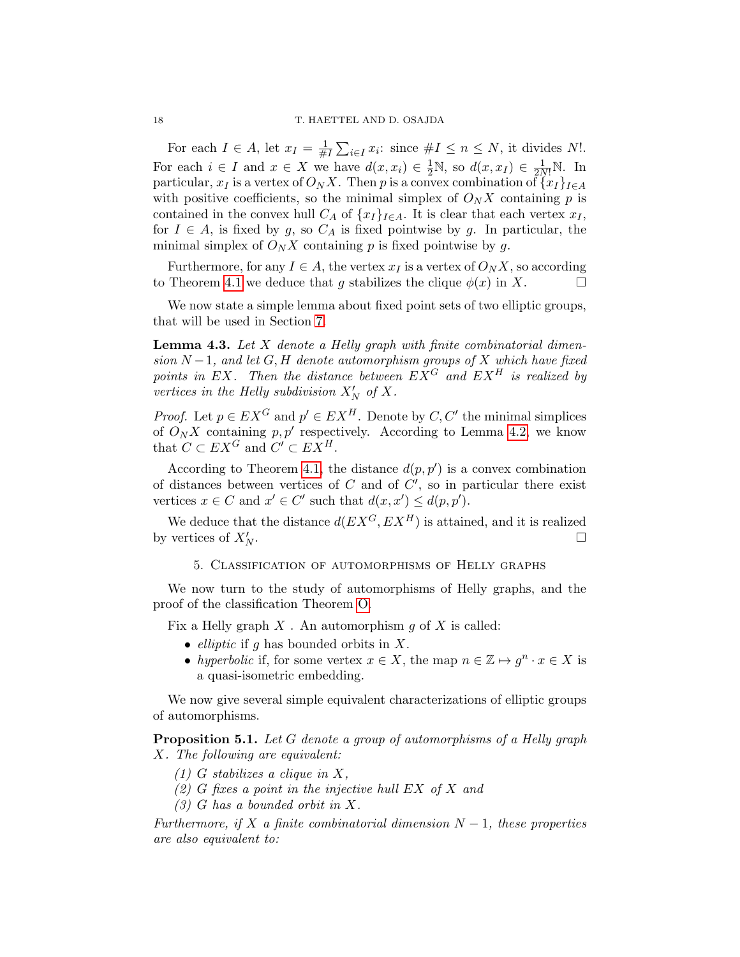For each  $I \in A$ , let  $x_I = \frac{1}{\#}$  $\frac{1}{\#I}\sum_{i\in I}x_i$ : since  $\#I\leq n\leq N$ , it divides N!. For each  $i \in I$  and  $x \in X$  we have  $d(x, x_i) \in \frac{1}{2}N$ , so  $d(x, x_I) \in \frac{1}{2N!}N$ . In particular,  $x_I$  is a vertex of  $O_N X$ . Then p is a convex combination of  $\{x_I\}_{I\in A}$ with positive coefficients, so the minimal simplex of  $O_N X$  containing p is contained in the convex hull  $C_A$  of  $\{x_I\}_{I\in A}$ . It is clear that each vertex  $x_I$ , for  $I \in A$ , is fixed by g, so  $C_A$  is fixed pointwise by g. In particular, the minimal simplex of  $O_N X$  containing p is fixed pointwise by g.

Furthermore, for any  $I \in A$ , the vertex  $x_I$  is a vertex of  $O_N X$ , so according to Theorem [4.1](#page-14-1) we deduce that g stabilizes the clique  $\phi(x)$  in X.

We now state a simple lemma about fixed point sets of two elliptic groups, that will be used in Section [7.](#page-25-0)

<span id="page-17-2"></span>**Lemma 4.3.** Let  $X$  denote a Helly graph with finite combinatorial dimension  $N-1$ , and let G, H denote automorphism groups of X which have fixed points in EX. Then the distance between  $EX^G$  and  $EX^H$  is realized by vertices in the Helly subdivision  $X'_N$  of X.

*Proof.* Let  $p \in EX^G$  and  $p' \in EX^H$ . Denote by  $C, C'$  the minimal simplices of  $O_N X$  containing  $p, p'$  respectively. According to Lemma [4.2,](#page-16-1) we know that  $C \subset EX^G$  and  $C' \subset EX^H$ .

According to Theorem [4.1,](#page-14-1) the distance  $d(p, p')$  is a convex combination of distances between vertices of  $C$  and of  $C'$ , so in particular there exist vertices  $x \in C$  and  $x' \in C'$  such that  $d(x, x') \leq d(p, p')$ .

We deduce that the distance  $d(EX^G, EX^H)$  is attained, and it is realized by vertices of  $X'_N$ .  $N$  .  $\Box$ 

5. Classification of automorphisms of Helly graphs

<span id="page-17-0"></span>We now turn to the study of automorphisms of Helly graphs, and the proof of the classification Theorem [O.](#page-5-0)

Fix a Helly graph  $X$ . An automorphism  $g$  of  $X$  is called:

- *elliptic* if g has bounded orbits in  $X$ .
- hyperbolic if, for some vertex  $x \in X$ , the map  $n \in \mathbb{Z} \mapsto g^n \cdot x \in X$  is a quasi-isometric embedding.

We now give several simple equivalent characterizations of elliptic groups of automorphisms.

<span id="page-17-1"></span>**Proposition 5.1.** Let G denote a group of automorphisms of a Helly graph X. The following are equivalent:

- $(1)$  G stabilizes a clique in X,
- (2) G fixes a point in the injective hull  $EX \tof X$  and
- (3) G has a bounded orbit in X.

Furthermore, if X a finite combinatorial dimension  $N-1$ , these properties are also equivalent to: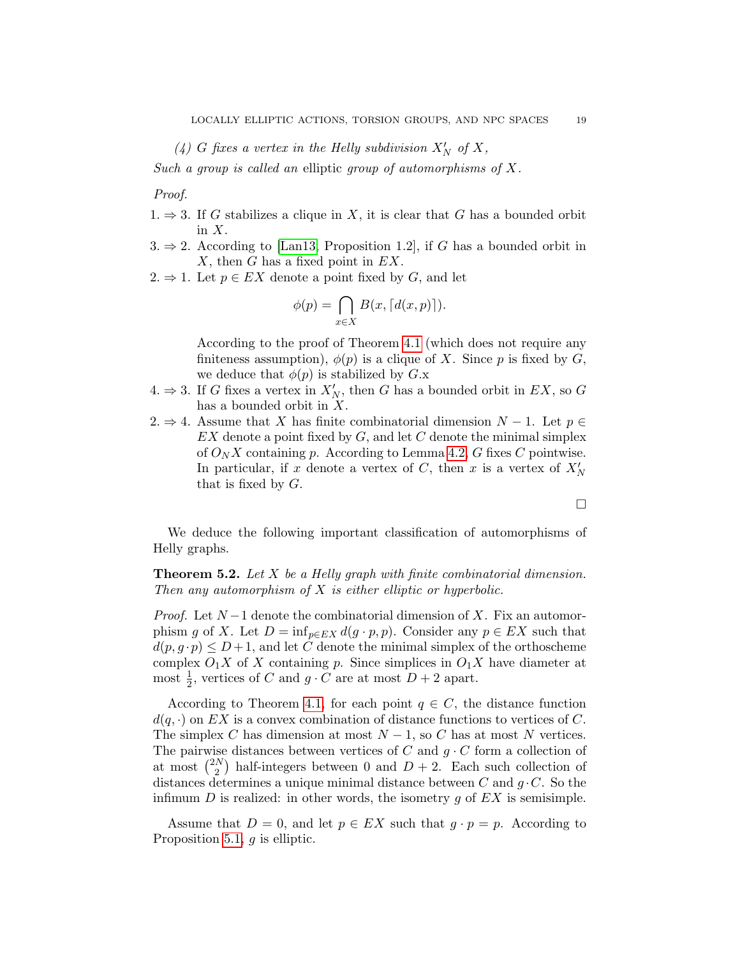(4) G fixes a vertex in the Helly subdivision  $X'_N$  of  $X$ ,

Such a group is called an elliptic group of automorphisms of X.

Proof.

- $1. \Rightarrow 3.$  If G stabilizes a clique in X, it is clear that G has a bounded orbit in  $X$ .
- $3. \Rightarrow 2.$  According to [\[Lan13,](#page-33-0) Proposition 1.2], if G has a bounded orbit in  $X$ , then  $G$  has a fixed point in  $EX$ .

2.  $\Rightarrow$  1. Let  $p \in EX$  denote a point fixed by G, and let

$$
\phi(p) = \bigcap_{x \in X} B(x, \lceil d(x, p) \rceil).
$$

According to the proof of Theorem [4.1](#page-14-1) (which does not require any finiteness assumption),  $\phi(p)$  is a clique of X. Since p is fixed by G, we deduce that  $\phi(p)$  is stabilized by  $G.x$ 

- 4.  $\Rightarrow$  3. If G fixes a vertex in  $X'_N$ , then G has a bounded orbit in EX, so G has a bounded orbit in  $X$ .
- 2.  $\Rightarrow$  4. Assume that X has finite combinatorial dimension N − 1. Let  $p \in$  $EX$  denote a point fixed by  $G$ , and let  $C$  denote the minimal simplex of  $O_N X$  containing p. According to Lemma [4.2,](#page-16-1) G fixes C pointwise. In particular, if x denote a vertex of C, then x is a vertex of  $X'_N$ that is fixed by  $G$ .

 $\Box$ 

We deduce the following important classification of automorphisms of Helly graphs.

<span id="page-18-0"></span>**Theorem 5.2.** Let  $X$  be a Helly graph with finite combinatorial dimension. Then any automorphism of  $X$  is either elliptic or hyperbolic.

*Proof.* Let  $N-1$  denote the combinatorial dimension of X. Fix an automorphism g of X. Let  $D = \inf_{p \in EX} d(g \cdot p, p)$ . Consider any  $p \in EX$  such that  $d(p, g \cdot p) \leq D+1$ , and let C denote the minimal simplex of the orthoscheme complex  $O_1X$  of X containing p. Since simplices in  $O_1X$  have diameter at most  $\frac{1}{2}$ , vertices of C and  $g \cdot C$  are at most  $D + 2$  apart.

According to Theorem [4.1,](#page-14-1) for each point  $q \in C$ , the distance function  $d(q, \cdot)$  on EX is a convex combination of distance functions to vertices of C. The simplex C has dimension at most  $N-1$ , so C has at most N vertices. The pairwise distances between vertices of C and  $g \cdot C$  form a collection of at most  $\binom{2N}{2}$  $\binom{N}{2}$  half-integers between 0 and  $D+2$ . Each such collection of distances determines a unique minimal distance between C and  $g \cdot C$ . So the infimum  $D$  is realized: in other words, the isometry  $q$  of  $EX$  is semisimple.

Assume that  $D = 0$ , and let  $p \in EX$  such that  $g \cdot p = p$ . According to Proposition [5.1,](#page-17-1) g is elliptic.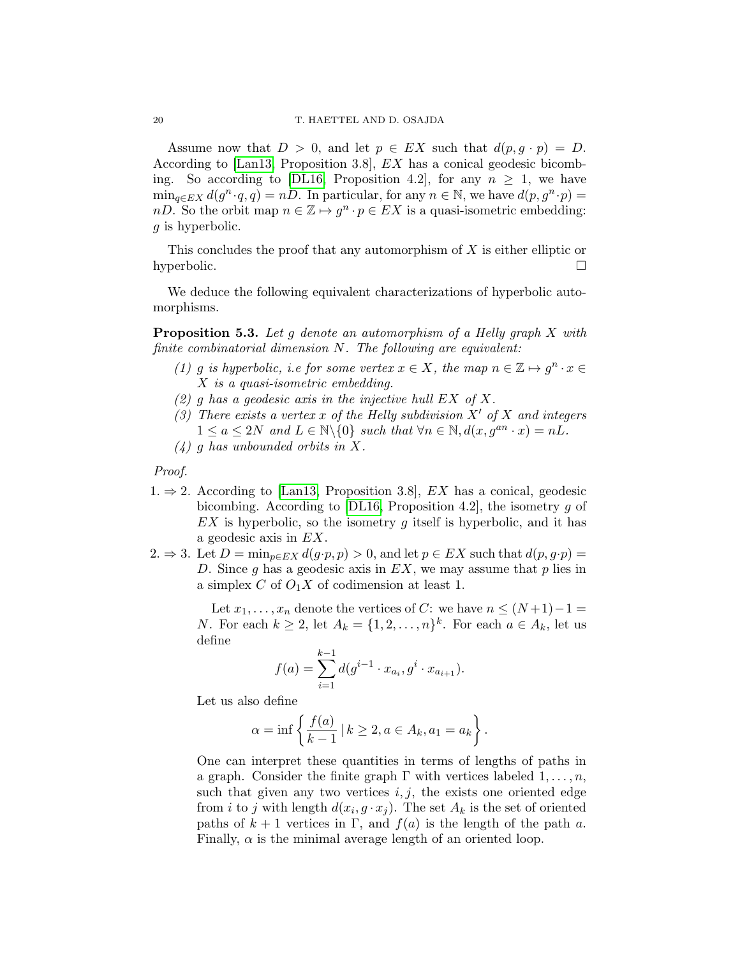Assume now that  $D > 0$ , and let  $p \in EX$  such that  $d(p, q \cdot p) = D$ . According to [\[Lan13,](#page-33-0) Proposition 3.8], EX has a conical geodesic bicomb-ing. So according to [\[DL16,](#page-32-21) Proposition 4.2], for any  $n \geq 1$ , we have  $\min_{q \in EX} d(g^n \cdot q, q) = nD$ . In particular, for any  $n \in \mathbb{N}$ , we have  $d(p, g^n \cdot p) =$ nD. So the orbit map  $n \in \mathbb{Z} \mapsto g^n \cdot p \in EX$  is a quasi-isometric embedding: g is hyperbolic.

This concludes the proof that any automorphism of X is either elliptic or hyperbolic.  $\square$ 

We deduce the following equivalent characterizations of hyperbolic automorphisms.

<span id="page-19-0"></span>**Proposition 5.3.** Let g denote an automorphism of a Helly graph  $X$  with finite combinatorial dimension  $N$ . The following are equivalent:

- (1) g is hyperbolic, i.e for some vertex  $x \in X$ , the map  $n \in \mathbb{Z} \mapsto g^n \cdot x \in$ X is a quasi-isometric embedding.
- (2) g has a geodesic axis in the injective hull  $EX$  of X.
- (3) There exists a vertex x of the Helly subdivision  $X'$  of X and integers  $1 \le a \le 2N$  and  $L \in \mathbb{N} \backslash \{0\}$  such that  $\forall n \in \mathbb{N}, d(x, g^{an} \cdot x) = nL$ .
- (4) g has unbounded orbits in X.

Proof.

- 1.  $\Rightarrow$  2. According to [\[Lan13,](#page-33-0) Proposition 3.8], *EX* has a conical, geodesic bicombing. According to  $[DL16,$  Proposition 4.2, the isometry g of  $EX$  is hyperbolic, so the isometry g itself is hyperbolic, and it has a geodesic axis in EX.
- 2.  $\Rightarrow$  3. Let  $D = \min_{p \in EX} d(g \cdot p, p) > 0$ , and let  $p \in EX$  such that  $d(p, g \cdot p) =$ D. Since g has a geodesic axis in  $EX$ , we may assume that p lies in a simplex C of  $O_1X$  of codimension at least 1.

Let  $x_1, \ldots, x_n$  denote the vertices of C: we have  $n \leq (N+1)-1$ *N*. For each  $k \geq 2$ , let  $A_k = \{1, 2, ..., n\}^k$ . For each  $a \in A_k$ , let us define

$$
f(a) = \sum_{i=1}^{k-1} d(g^{i-1} \cdot x_{a_i}, g^i \cdot x_{a_{i+1}}).
$$

Let us also define

$$
\alpha = \inf \left\{ \frac{f(a)}{k-1} \, | \, k \ge 2, a \in A_k, a_1 = a_k \right\}.
$$

One can interpret these quantities in terms of lengths of paths in a graph. Consider the finite graph  $\Gamma$  with vertices labeled  $1, \ldots, n$ , such that given any two vertices  $i, j$ , the exists one oriented edge from *i* to *j* with length  $d(x_i, g \cdot x_j)$ . The set  $A_k$  is the set of oriented paths of  $k + 1$  vertices in Γ, and  $f(a)$  is the length of the path a. Finally,  $\alpha$  is the minimal average length of an oriented loop.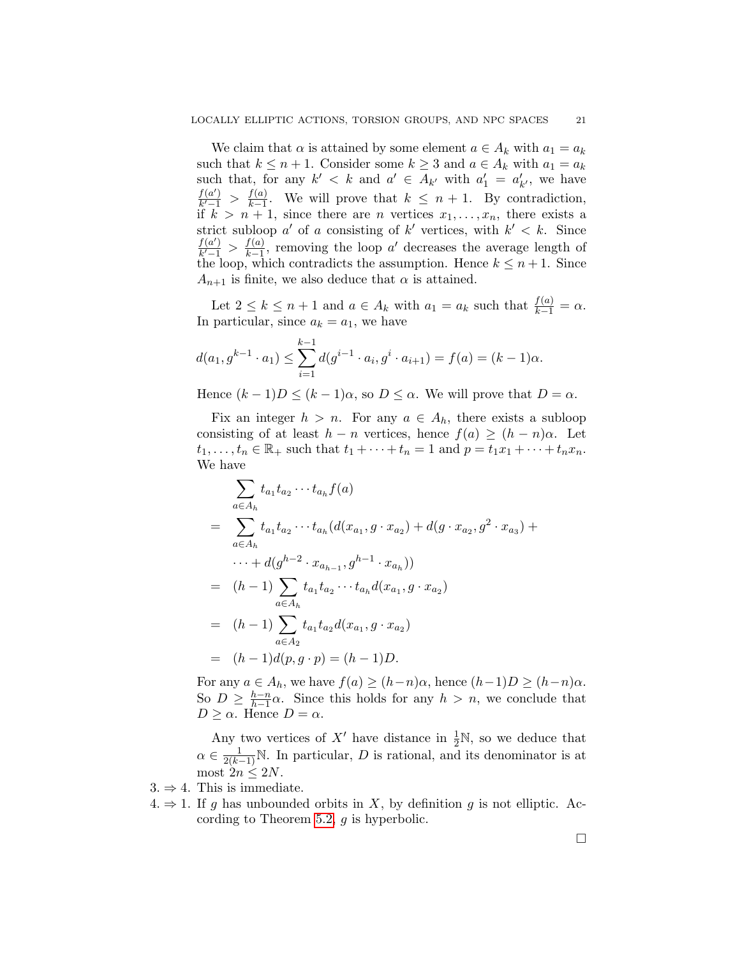We claim that  $\alpha$  is attained by some element  $a \in A_k$  with  $a_1 = a_k$ such that  $k \leq n+1$ . Consider some  $k \geq 3$  and  $a \in A_k$  with  $a_1 = a_k$ such that, for any  $k' < k$  and  $a' \in A_{k'}$  with  $a'_1 = a'_{k'}$ , we have  $f(a')$  $\frac{f(a')}{k'-1} > \frac{f(a)}{k-1}$  $\frac{f(a)}{k-1}$ . We will prove that  $k \leq n+1$ . By contradiction, if  $k > n + 1$ , since there are *n* vertices  $x_1, \ldots, x_n$ , there exists a strict subloop  $a'$  of a consisting of  $k'$  vertices, with  $k' < k$ . Since  $f(a')$  $\frac{f(a')}{k'-1} > \frac{f(a)}{k-1}$  $\frac{f(a)}{k-1}$ , removing the loop a' decreases the average length of the loop, which contradicts the assumption. Hence  $k \leq n+1$ . Since  $A_{n+1}$  is finite, we also deduce that  $\alpha$  is attained.

Let  $2 \leq k \leq n+1$  and  $a \in A_k$  with  $a_1 = a_k$  such that  $\frac{f(a)}{k-1} = \alpha$ . In particular, since  $a_k = a_1$ , we have

$$
d(a_1, g^{k-1} \cdot a_1) \le \sum_{i=1}^{k-1} d(g^{i-1} \cdot a_i, g^i \cdot a_{i+1}) = f(a) = (k-1)\alpha.
$$

Hence  $(k-1)D \leq (k-1)\alpha$ , so  $D \leq \alpha$ . We will prove that  $D = \alpha$ .

Fix an integer  $h > n$ . For any  $a \in A_h$ , there exists a subloop consisting of at least  $h - n$  vertices, hence  $f(a) \ge (h - n)\alpha$ . Let  $t_1, ..., t_n \in \mathbb{R}_+$  such that  $t_1 + ... + t_n = 1$  and  $p = t_1x_1 + ... + t_nx_n$ . We have

$$
\sum_{a \in A_h} t_{a_1} t_{a_2} \cdots t_{a_h} f(a)
$$
\n
$$
= \sum_{a \in A_h} t_{a_1} t_{a_2} \cdots t_{a_h} (d(x_{a_1}, g \cdot x_{a_2}) + d(g \cdot x_{a_2}, g^2 \cdot x_{a_3}) + \cdots + d(g^{h-2} \cdot x_{a_{h-1}}, g^{h-1} \cdot x_{a_h}))
$$
\n
$$
= (h-1) \sum_{a \in A_h} t_{a_1} t_{a_2} \cdots t_{a_h} d(x_{a_1}, g \cdot x_{a_2})
$$
\n
$$
= (h-1) \sum_{a \in A_2} t_{a_1} t_{a_2} d(x_{a_1}, g \cdot x_{a_2})
$$
\n
$$
= (h-1) d(p, g \cdot p) = (h-1) D.
$$

For any  $a \in A_h$ , we have  $f(a) \ge (h-n)\alpha$ , hence  $(h-1)D \ge (h-n)\alpha$ . So  $D \geq \frac{h-n}{h-1}$  $\frac{h-n}{h-1}\alpha$ . Since this holds for any  $h > n$ , we conclude that  $D \geq \alpha$ . Hence  $D = \alpha$ .

Any two vertices of X' have distance in  $\frac{1}{2}N$ , so we deduce that  $\alpha \in \frac{1}{2(k-1)}\mathbb{N}$ . In particular, D is rational, and its denominator is at most  $2n \leq 2N$ .

 $3. \Rightarrow 4.$  This is immediate.

 $4. \Rightarrow 1$ . If g has unbounded orbits in X, by definition g is not elliptic. According to Theorem [5.2,](#page-18-0) g is hyperbolic.

 $\Box$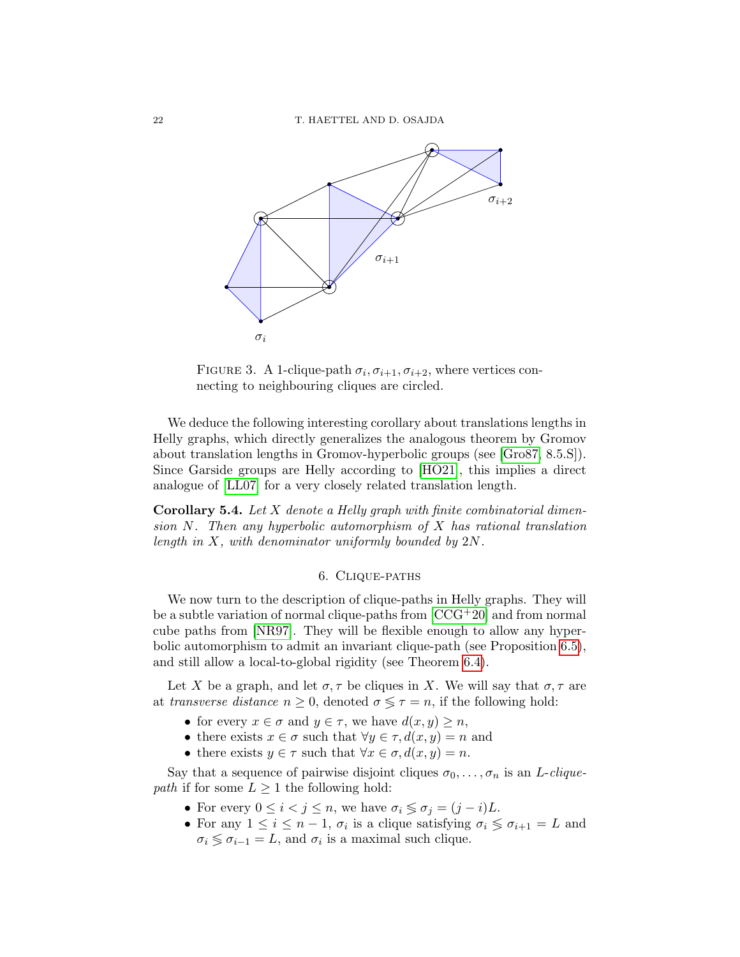

<span id="page-21-1"></span>FIGURE 3. A 1-clique-path  $\sigma_i, \sigma_{i+1}, \sigma_{i+2}$ , where vertices connecting to neighbouring cliques are circled.

We deduce the following interesting corollary about translations lengths in Helly graphs, which directly generalizes the analogous theorem by Gromov about translation lengths in Gromov-hyperbolic groups (see [\[Gro87,](#page-32-3) 8.5.S]). Since Garside groups are Helly according to [\[HO21\]](#page-32-4), this implies a direct analogue of [\[LL07\]](#page-33-8) for a very closely related translation length.

**Corollary 5.4.** Let  $X$  denote a Helly graph with finite combinatorial dimension N. Then any hyperbolic automorphism of X has rational translation length in X, with denominator uniformly bounded by 2N.

## 6. Clique-paths

<span id="page-21-0"></span>We now turn to the description of clique-paths in Helly graphs. They will be a subtle variation of normal clique-paths from  $[CCG^+20]$  and from normal cube paths from [\[NR97\]](#page-33-9). They will be flexible enough to allow any hyperbolic automorphism to admit an invariant clique-path (see Proposition [6.5\)](#page-24-0), and still allow a local-to-global rigidity (see Theorem [6.4\)](#page-24-1).

Let X be a graph, and let  $\sigma, \tau$  be cliques in X. We will say that  $\sigma, \tau$  are at transverse distance  $n \geq 0$ , denoted  $\sigma \leq \tau = n$ , if the following hold:

- for every  $x \in \sigma$  and  $y \in \tau$ , we have  $d(x, y) \geq n$ ,
- there exists  $x \in \sigma$  such that  $\forall y \in \tau, d(x, y) = n$  and
- there exists  $y \in \tau$  such that  $\forall x \in \sigma, d(x, y) = n$ .

Say that a sequence of pairwise disjoint cliques  $\sigma_0, \ldots, \sigma_n$  is an *L-clique*path if for some  $L \geq 1$  the following hold:

- For every  $0 \leq i < j \leq n$ , we have  $\sigma_i \leq \sigma_j = (j i)L$ .
- For any  $1 \leq i \leq n-1$ ,  $\sigma_i$  is a clique satisfying  $\sigma_i \leq \sigma_{i+1} = L$  and  $\sigma_i \lessgtr \sigma_{i-1} = L$ , and  $\sigma_i$  is a maximal such clique.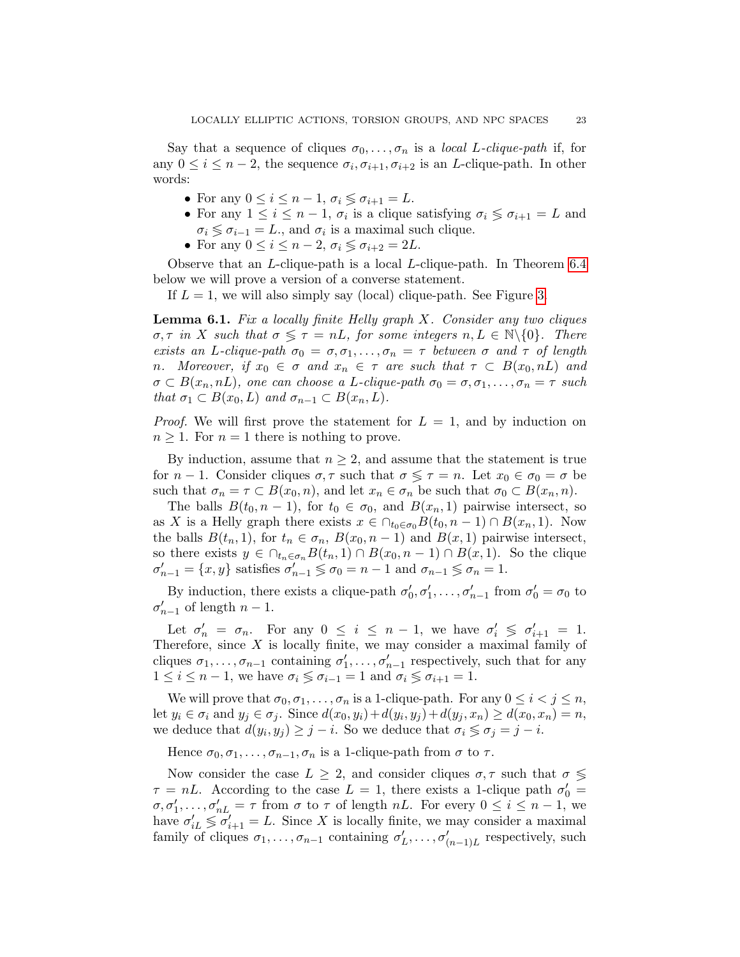Say that a sequence of cliques  $\sigma_0, \ldots, \sigma_n$  is a *local L-clique-path* if, for any  $0 \leq i \leq n-2$ , the sequence  $\sigma_i, \sigma_{i+1}, \sigma_{i+2}$  is an *L*-clique-path. In other words:

- For any  $0 \leq i \leq n-1$ ,  $\sigma_i \leq \sigma_{i+1} = L$ .
- For any  $1 \leq i \leq n-1$ ,  $\sigma_i$  is a clique satisfying  $\sigma_i \leq \sigma_{i+1} = L$  and  $\sigma_i \lessgtr \sigma_{i-1} = L$ ., and  $\sigma_i$  is a maximal such clique.
- For any  $0 \leq i \leq n-2$ ,  $\sigma_i \leq \sigma_{i+2} = 2L$ .

Observe that an L-clique-path is a local L-clique-path. In Theorem [6.4](#page-24-1) below we will prove a version of a converse statement.

If  $L = 1$ , we will also simply say (local) clique-path. See Figure [3.](#page-21-1)

<span id="page-22-0"></span>**Lemma 6.1.** Fix a locally finite Helly graph  $X$ . Consider any two cliques  $\sigma, \tau$  in X such that  $\sigma \leq \tau = nL$ , for some integers  $n, L \in \mathbb{N} \setminus \{0\}$ . There exists an L-clique-path  $\sigma_0 = \sigma, \sigma_1, \ldots, \sigma_n = \tau$  between  $\sigma$  and  $\tau$  of length n. Moreover, if  $x_0 \in \sigma$  and  $x_n \in \tau$  are such that  $\tau \subset B(x_0, nL)$  and  $\sigma \subset B(x_n, nL)$ , one can choose a L-clique-path  $\sigma_0 = \sigma, \sigma_1, \ldots, \sigma_n = \tau$  such that  $\sigma_1 \subset B(x_0, L)$  and  $\sigma_{n-1} \subset B(x_n, L)$ .

*Proof.* We will first prove the statement for  $L = 1$ , and by induction on  $n \geq 1$ . For  $n = 1$  there is nothing to prove.

By induction, assume that  $n \geq 2$ , and assume that the statement is true for  $n-1$ . Consider cliques  $\sigma, \tau$  such that  $\sigma \leq \tau = n$ . Let  $x_0 \in \sigma_0 = \sigma$  be such that  $\sigma_n = \tau \subset B(x_0, n)$ , and let  $x_n \in \sigma_n$  be such that  $\sigma_0 \subset B(x_n, n)$ .

The balls  $B(t_0, n-1)$ , for  $t_0 \in \sigma_0$ , and  $B(x_n, 1)$  pairwise intersect, so as X is a Helly graph there exists  $x \in \bigcap_{t_0 \in \sigma_0} B(t_0, n-1) \cap B(x_n, 1)$ . Now the balls  $B(t_n, 1)$ , for  $t_n \in \sigma_n$ ,  $B(x_0, n-1)$  and  $B(x, 1)$  pairwise intersect, so there exists  $y \in \bigcap_{t_n \in \sigma_n} B(t_n, 1) \cap B(x_0, n-1) \cap B(x, 1)$ . So the clique  $\sigma'_{n-1} = \{x, y\}$  satisfies  $\sigma'_{n-1} \lessgtr \sigma_0 = n-1$  and  $\sigma_{n-1} \lessgtr \sigma_n = 1$ .

By induction, there exists a clique-path  $\sigma'_0, \sigma'_1, \ldots, \sigma'_{n-1}$  from  $\sigma'_0 = \sigma_0$  to  $\sigma'_{n-1}$  of length  $n-1$ .

Let  $\sigma'_n = \sigma_n$ . For any  $0 \leq i \leq n-1$ , we have  $\sigma'_i \leq \sigma'_{i+1} = 1$ . Therefore, since  $X$  is locally finite, we may consider a maximal family of cliques  $\sigma_1, \ldots, \sigma_{n-1}$  containing  $\sigma'_1, \ldots, \sigma'_{n-1}$  respectively, such that for any  $1 \leq i \leq n-1$ , we have  $\sigma_i \lessgtr \sigma_{i-1} = 1$  and  $\sigma_i \lessgtr \sigma_{i+1} = 1$ .

We will prove that  $\sigma_0, \sigma_1, \ldots, \sigma_n$  is a 1-clique-path. For any  $0 \leq i < j \leq n$ , let  $y_i \in \sigma_i$  and  $y_j \in \sigma_j$ . Since  $d(x_0, y_i) + d(y_i, y_j) + d(y_j, x_n) \ge d(x_0, x_n) = n$ , we deduce that  $d(y_i, y_j) \geq j - i$ . So we deduce that  $\sigma_i \leq \sigma_j = j - i$ .

Hence  $\sigma_0, \sigma_1, \ldots, \sigma_{n-1}, \sigma_n$  is a 1-clique-path from  $\sigma$  to  $\tau$ .

Now consider the case  $L \geq 2$ , and consider cliques  $\sigma, \tau$  such that  $\sigma \leq$  $\tau = nL$ . According to the case  $L = 1$ , there exists a 1-clique path  $\sigma'_0 =$  $\sigma, \sigma'_1, \ldots, \sigma'_{nL} = \tau$  from  $\sigma$  to  $\tau$  of length  $nL$ . For every  $0 \leq i \leq n-1$ , we have  $\sigma'_{iL} \leq \sigma'_{i+1} = L$ . Since X is locally finite, we may consider a maximal family of cliques  $\sigma_1, \ldots, \sigma_{n-1}$  containing  $\sigma'_L, \ldots, \sigma'_{(n-1)L}$  respectively, such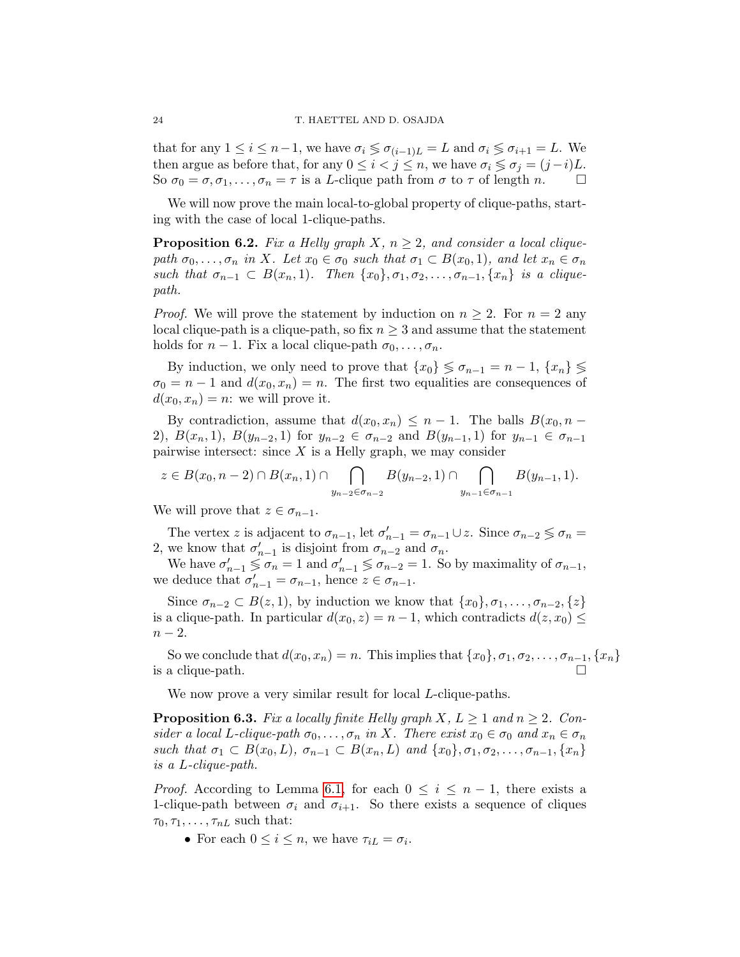that for any  $1 \leq i \leq n-1$ , we have  $\sigma_i \leq \sigma_{i-1}$  = L and  $\sigma_i \leq \sigma_{i+1}$  = L. We then argue as before that, for any  $0 \leq i < j \leq n$ , we have  $\sigma_i \leq \sigma_j = (j - i)L$ . So  $\sigma_0 = \sigma, \sigma_1, \ldots, \sigma_n = \tau$  is a *L*-clique path from  $\sigma$  to  $\tau$  of length  $n$ .

We will now prove the main local-to-global property of clique-paths, starting with the case of local 1-clique-paths.

<span id="page-23-0"></span>**Proposition 6.2.** Fix a Helly graph X,  $n \geq 2$ , and consider a local cliquepath  $\sigma_0, \ldots, \sigma_n$  in X. Let  $x_0 \in \sigma_0$  such that  $\sigma_1 \subset B(x_0, 1)$ , and let  $x_n \in \sigma_n$ such that  $\sigma_{n-1} \subset B(x_n, 1)$ . Then  $\{x_0\}, \sigma_1, \sigma_2, \ldots, \sigma_{n-1}, \{x_n\}$  is a cliquepath.

*Proof.* We will prove the statement by induction on  $n > 2$ . For  $n = 2$  any local clique-path is a clique-path, so fix  $n \geq 3$  and assume that the statement holds for  $n-1$ . Fix a local clique-path  $\sigma_0, \ldots, \sigma_n$ .

By induction, we only need to prove that  $\{x_0\} \leq \sigma_{n-1} = n-1, \{x_n\} \leq$  $\sigma_0 = n - 1$  and  $d(x_0, x_n) = n$ . The first two equalities are consequences of  $d(x_0, x_n) = n$ : we will prove it.

By contradiction, assume that  $d(x_0, x_n) \leq n-1$ . The balls  $B(x_0, n-1)$ 2),  $B(x_n, 1)$ ,  $B(y_{n-2}, 1)$  for  $y_{n-2} \in \sigma_{n-2}$  and  $B(y_{n-1}, 1)$  for  $y_{n-1} \in \sigma_{n-1}$ pairwise intersect: since  $X$  is a Helly graph, we may consider

$$
z \in B(x_0, n-2) \cap B(x_n, 1) \cap \bigcap_{y_{n-2} \in \sigma_{n-2}} B(y_{n-2}, 1) \cap \bigcap_{y_{n-1} \in \sigma_{n-1}} B(y_{n-1}, 1).
$$

We will prove that  $z \in \sigma_{n-1}$ .

The vertex z is adjacent to  $\sigma_{n-1}$ , let  $\sigma'_{n-1} = \sigma_{n-1} \cup z$ . Since  $\sigma_{n-2} \leq \sigma_n =$ 2, we know that  $\sigma'_{n-1}$  is disjoint from  $\sigma_{n-2}$  and  $\sigma_n$ .

We have  $\sigma'_{n-1} \leq \sigma_n = 1$  and  $\sigma'_{n-1} \leq \sigma_{n-2} = 1$ . So by maximality of  $\sigma_{n-1}$ , we deduce that  $\sigma'_{n-1} = \sigma_{n-1}$ , hence  $z \in \sigma_{n-1}$ .

Since  $\sigma_{n-2} \subset B(z,1)$ , by induction we know that  $\{x_0\}, \sigma_1, \ldots, \sigma_{n-2}, \{z\}$ is a clique-path. In particular  $d(x_0, z) = n - 1$ , which contradicts  $d(z, x_0) \leq$  $n-2$ .

So we conclude that  $d(x_0, x_n) = n$ . This implies that  $\{x_0\}, \sigma_1, \sigma_2, \ldots, \sigma_{n-1}, \{x_n\}$ is a clique-path.  $\Box$ 

We now prove a very similar result for local *L*-clique-paths.

<span id="page-23-1"></span>**Proposition 6.3.** Fix a locally finite Helly graph X,  $L \geq 1$  and  $n \geq 2$ . Consider a local L-clique-path  $\sigma_0, \ldots, \sigma_n$  in X. There exist  $x_0 \in \sigma_0$  and  $x_n \in \sigma_n$ such that  $\sigma_1 \subset B(x_0, L)$ ,  $\sigma_{n-1} \subset B(x_n, L)$  and  $\{x_0\}$ ,  $\sigma_1$ ,  $\sigma_2$ , ...,  $\sigma_{n-1}$ ,  $\{x_n\}$ is a L-clique-path.

*Proof.* According to Lemma [6.1,](#page-22-0) for each  $0 \leq i \leq n-1$ , there exists a 1-clique-path between  $\sigma_i$  and  $\sigma_{i+1}$ . So there exists a sequence of cliques  $\tau_0, \tau_1, \ldots, \tau_{nL}$  such that:

• For each  $0 \leq i \leq n$ , we have  $\tau_{iL} = \sigma_i$ .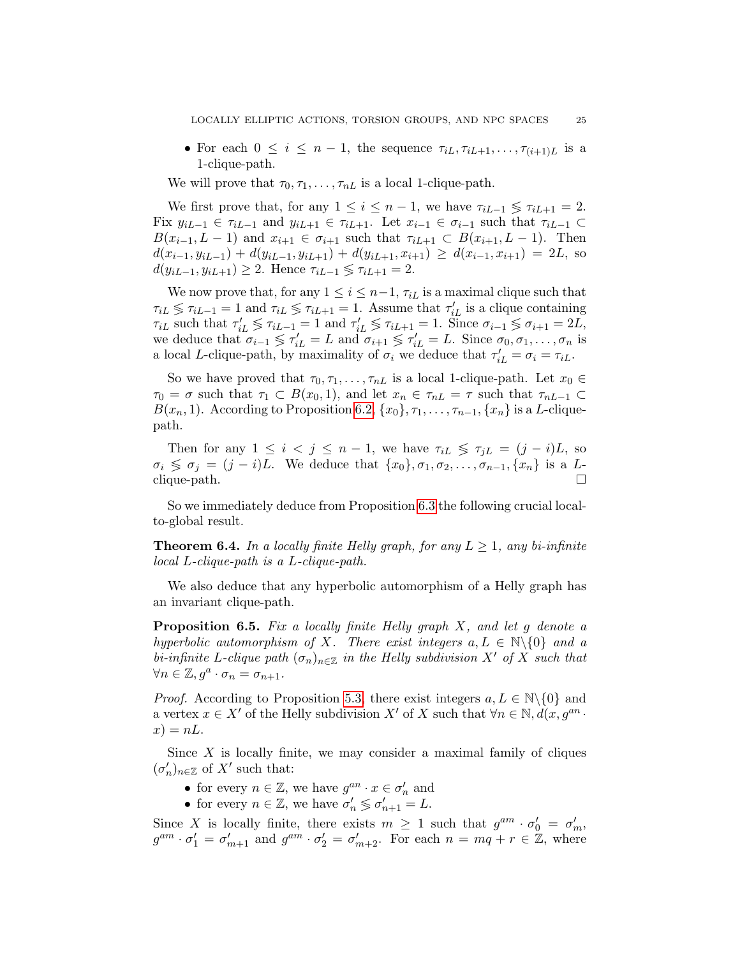• For each  $0 \leq i \leq n-1$ , the sequence  $\tau_{iL}, \tau_{iL+1}, \ldots, \tau_{(i+1)L}$  is a 1-clique-path.

We will prove that  $\tau_0, \tau_1, \ldots, \tau_{nL}$  is a local 1-clique-path.

We first prove that, for any  $1 \leq i \leq n-1$ , we have  $\tau_{iL-1} \leq \tau_{iL+1} = 2$ . Fix  $y_{iL-1} \in \tau_{iL-1}$  and  $y_{iL+1} \in \tau_{iL+1}$ . Let  $x_{i-1} \in \sigma_{i-1}$  such that  $\tau_{iL-1} \subset$  $B(x_{i-1}, L-1)$  and  $x_{i+1} \in \sigma_{i+1}$  such that  $\tau_{iL+1} \subset B(x_{i+1}, L-1)$ . Then  $d(x_{i-1}, y_{iL-1}) + d(y_{iL-1}, y_{iL+1}) + d(y_{iL+1}, x_{i+1}) \geq d(x_{i-1}, x_{i+1}) = 2L$ , so  $d(y_{iL-1}, y_{iL+1}) \geq 2$ . Hence  $\tau_{iL-1} \leq \tau_{iL+1} = 2$ .

We now prove that, for any  $1 \leq i \leq n-1$ ,  $\tau_{iL}$  is a maximal clique such that  $\tau_{iL} \lessgtr \tau_{iL-1} = 1$  and  $\tau_{iL} \lessgtr \tau_{iL+1} = 1$ . Assume that  $\tau'_{iL}$  is a clique containing  $\tau_{iL}$  such that  $\tau'_{iL} \lessgtr \tau_{iL-1} = 1$  and  $\tau'_{iL} \lessgtr \tau_{iL+1} = 1$ . Since  $\sigma_{i-1} \lessgtr \sigma_{i+1} = 2L$ , we deduce that  $\sigma_{i-1} \leq \tau'_{iL} = L$  and  $\sigma_{i+1} \leq \tau'_{iL} = L$ . Since  $\sigma_0, \sigma_1, \ldots, \sigma_n$  is a local L-clique-path, by maximality of  $\sigma_i$  we deduce that  $\tau'_{iL} = \sigma_i = \tau_{iL}$ .

So we have proved that  $\tau_0, \tau_1, \ldots, \tau_{nL}$  is a local 1-clique-path. Let  $x_0 \in$  $\tau_0 = \sigma$  such that  $\tau_1 \subset B(x_0, 1)$ , and let  $x_n \in \tau_{nL} = \tau$  such that  $\tau_{nL-1} \subset$  $B(x_n, 1)$ . According to Proposition [6.2,](#page-23-0)  $\{x_0\}, \tau_1, \ldots, \tau_{n-1}, \{x_n\}$  is a L-cliquepath.

Then for any  $1 \leq i < j \leq n-1$ , we have  $\tau_{iL} \leq \tau_{jL} = (j-i)L$ , so  $\sigma_i \leq \sigma_j = (j - i)L$ . We deduce that  $\{x_0\}, \sigma_1, \sigma_2, \ldots, \sigma_{n-1}, \{x_n\}$  is a Lclique-path.

So we immediately deduce from Proposition [6.3](#page-23-1) the following crucial localto-global result.

<span id="page-24-1"></span>**Theorem 6.4.** In a locally finite Helly graph, for any  $L \geq 1$ , any bi-infinite local L-clique-path is a L-clique-path.

We also deduce that any hyperbolic automorphism of a Helly graph has an invariant clique-path.

<span id="page-24-0"></span>**Proposition 6.5.** Fix a locally finite Helly graph  $X$ , and let g denote a hyperbolic automorphism of X. There exist integers  $a, L \in \mathbb{N} \setminus \{0\}$  and a bi-infinite L-clique path  $(\sigma_n)_{n\in\mathbb{Z}}$  in the Helly subdivision X' of X such that  $\forall n \in \mathbb{Z}, g^a \cdot \sigma_n = \sigma_{n+1}.$ 

*Proof.* According to Proposition [5.3,](#page-19-0) there exist integers  $a, L \in \mathbb{N}\backslash\{0\}$  and a vertex  $x \in X'$  of the Helly subdivision  $X'$  of X such that  $\forall n \in \mathbb{N}, d(x, g^{an})$ .  $x) = nL.$ 

Since  $X$  is locally finite, we may consider a maximal family of cliques  $(\sigma'_n)_{n\in\mathbb{Z}}$  of  $X'$  such that:

- for every  $n \in \mathbb{Z}$ , we have  $g^{an} \cdot x \in \sigma'_n$  and
- for every  $n \in \mathbb{Z}$ , we have  $\sigma'_n \lessgtr \sigma'_{n+1} = L$ .

Since X is locally finite, there exists  $m \geq 1$  such that  $g^{am} \cdot \sigma'_0 = \sigma'_m$ ,  $g^{am} \cdot \sigma'_1 = \sigma'_{m+1}$  and  $g^{am} \cdot \sigma'_2 = \sigma'_{m+2}$ . For each  $n = mq + r \in \mathbb{Z}$ , where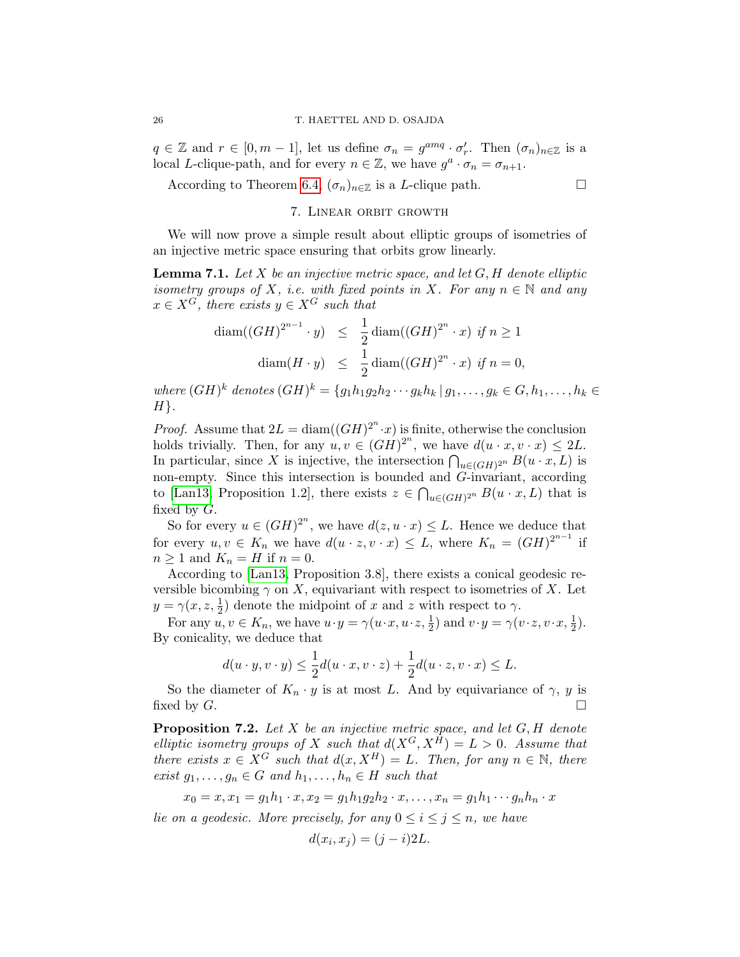$q \in \mathbb{Z}$  and  $r \in [0, m-1]$ , let us define  $\sigma_n = g^{amq} \cdot \sigma'_r$ . Then  $(\sigma_n)_{n \in \mathbb{Z}}$  is a local L-clique-path, and for every  $n \in \mathbb{Z}$ , we have  $g^a \cdot \sigma_n = \sigma_{n+1}$ .

<span id="page-25-0"></span>According to Theorem [6.4,](#page-24-1)  $(\sigma_n)_{n \in \mathbb{Z}}$  is a *L*-clique path.  $\Box$ 

7. Linear orbit growth

We will now prove a simple result about elliptic groups of isometries of an injective metric space ensuring that orbits grow linearly.

<span id="page-25-1"></span>**Lemma 7.1.** Let X be an injective metric space, and let  $G$ ,  $H$  denote elliptic isometry groups of X, i.e. with fixed points in X. For any  $n \in \mathbb{N}$  and any  $x \in X^G$ , there exists  $y \in X^G$  such that

$$
\operatorname{diam}((GH)^{2^{n-1}} \cdot y) \le \frac{1}{2} \operatorname{diam}((GH)^{2^n} \cdot x) \text{ if } n \ge 1
$$
  

$$
\operatorname{diam}(H \cdot y) \le \frac{1}{2} \operatorname{diam}((GH)^{2^n} \cdot x) \text{ if } n = 0,
$$

where  $(GH)^k$  denotes  $(GH)^k = \{g_1h_1g_2h_2\cdots g_kh_k \,|\, g_1,\ldots,g_k\in G, h_1,\ldots,h_k\in G\}$  $H$ .

*Proof.* Assume that  $2L = \text{diam}((GH)^{2^n} \cdot x)$  is finite, otherwise the conclusion holds trivially. Then, for any  $u, v \in (GH)^{2^n}$ , we have  $d(u \cdot x, v \cdot x) \leq 2L$ . In particular, since X is injective, the intersection  $\bigcap_{u \in (GH)^{2^n}} B(u \cdot x, L)$  is non-empty. Since this intersection is bounded and G-invariant, according to [\[Lan13,](#page-33-0) Proposition 1.2], there exists  $z \in \bigcap_{u \in (GH)^{2^n}} B(u \cdot x, L)$  that is fixed by G.

So for every  $u \in (GH)^{2^n}$ , we have  $d(z, u \cdot x) \leq L$ . Hence we deduce that for every  $u, v \in K_n$  we have  $d(u \cdot z, v \cdot x) \leq L$ , where  $K_n = (GH)^{2^{n-1}}$  if  $n \geq 1$  and  $K_n = H$  if  $n = 0$ .

According to [\[Lan13,](#page-33-0) Proposition 3.8], there exists a conical geodesic reversible bicombing  $\gamma$  on X, equivariant with respect to isometries of X. Let  $y = \gamma(x, z, \frac{1}{2})$  denote the midpoint of x and z with respect to  $\gamma$ .

For any  $u, v \in K_n$ , we have  $u \cdot y = \gamma(u \cdot x, u \cdot z, \frac{1}{2})$  and  $v \cdot y = \gamma(v \cdot z, v \cdot x, \frac{1}{2})$ . By conicality, we deduce that

$$
d(u \cdot y, v \cdot y) \le \frac{1}{2}d(u \cdot x, v \cdot z) + \frac{1}{2}d(u \cdot z, v \cdot x) \le L.
$$

So the diameter of  $K_n \cdot y$  is at most L. And by equivariance of  $\gamma$ , y is fixed by G.

<span id="page-25-2"></span>**Proposition 7.2.** Let  $X$  be an injective metric space, and let  $G, H$  denote elliptic isometry groups of X such that  $d(X^G, X^H) = L > 0$ . Assume that there exists  $x \in X^G$  such that  $d(x, X^H) = L$ . Then, for any  $n \in \mathbb{N}$ , there exist  $g_1, \ldots, g_n \in G$  and  $h_1, \ldots, h_n \in H$  such that

$$
x_0 = x, x_1 = g_1h_1 \cdot x, x_2 = g_1h_1g_2h_2 \cdot x, \dots, x_n = g_1h_1 \cdots g_nh_n \cdot x
$$

lie on a geodesic. More precisely, for any  $0 \le i \le j \le n$ , we have

$$
d(x_i, x_j) = (j - i)2L.
$$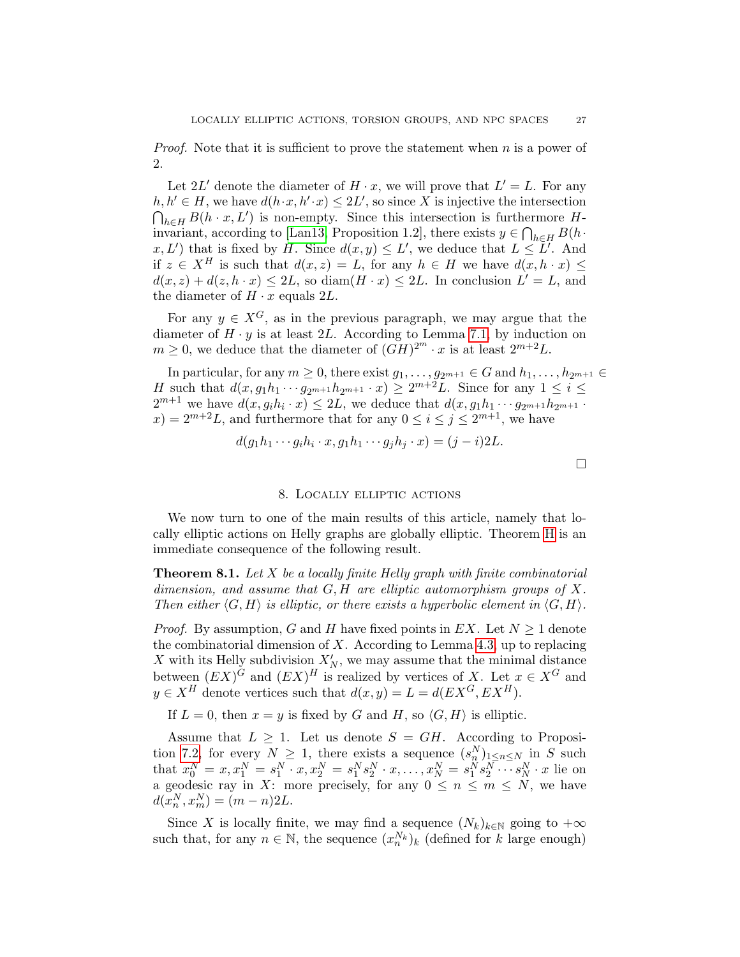*Proof.* Note that it is sufficient to prove the statement when  $n$  is a power of 2.

Let 2L' denote the diameter of  $H \cdot x$ , we will prove that  $L' = L$ . For any  $h, h' \in H$ , we have  $d(h \cdot x, h' \cdot x) \leq 2L'$ , so since X is injective the intersection  $\bigcap_{h\in H} B(h \cdot x, L')$  is non-empty. Since this intersection is furthermore H-invariant, according to [\[Lan13,](#page-33-0) Proposition 1.2], there exists  $y \in \bigcap_{h \in H} B(h \cdot$  $x, L'$  that is fixed by H. Since  $d(x, y) \leq L'$ , we deduce that  $L \leq L'$ . And if  $z \in X^H$  is such that  $d(x, z) = L$ , for any  $h \in H$  we have  $d(x, h \cdot x) \leq$  $d(x, z) + d(z, h \cdot x) \leq 2L$ , so diam $(H \cdot x) \leq 2L$ . In conclusion  $L' = L$ , and the diameter of  $H \cdot x$  equals 2L.

For any  $y \in X^G$ , as in the previous paragraph, we may argue that the diameter of  $H \cdot y$  is at least 2L. According to Lemma [7.1,](#page-25-1) by induction on  $m \geq 0$ , we deduce that the diameter of  $(GH)^{2^m} \cdot x$  is at least  $2^{m+2}L$ .

In particular, for any  $m \geq 0$ , there exist  $g_1, \ldots, g_{2^{m+1}} \in G$  and  $h_1, \ldots, h_{2^{m+1}} \in G$ H such that  $d(x, g_1h_1\cdots g_{2m+1}h_{2m+1}\cdot x) \geq 2^{m+2}L$ . Since for any  $1 \leq i \leq$  $2^{m+1}$  we have  $d(x, g_i h_i \cdot x) \leq 2L$ , we deduce that  $d(x, g_1 h_1 \cdots g_{2^{m+1}} h_{2^{m+1}} \cdot$  $f(x) = 2^{m+2}L$ , and furthermore that for any  $0 \leq i \leq j \leq 2^{m+1}$ , we have

$$
d(g_1h_1\cdots g_ih_i\cdot x, g_1h_1\cdots g_jh_j\cdot x)=(j-i)2L.
$$

#### $\Box$

### 8. Locally elliptic actions

<span id="page-26-1"></span>We now turn to one of the main results of this article, namely that locally elliptic actions on Helly graphs are globally elliptic. Theorem [H](#page-3-0) is an immediate consequence of the following result.

<span id="page-26-0"></span>**Theorem 8.1.** Let X be a locally finite Helly graph with finite combinatorial dimension, and assume that  $G, H$  are elliptic automorphism groups of X. Then either  $\langle G, H \rangle$  is elliptic, or there exists a hyperbolic element in  $\langle G, H \rangle$ .

*Proof.* By assumption, G and H have fixed points in  $EX$ . Let  $N \geq 1$  denote the combinatorial dimension of  $X$ . According to Lemma [4.3,](#page-17-2) up to replacing X with its Helly subdivision  $X'_N$ , we may assume that the minimal distance between  $(EX)^G$  and  $(EX)^H$  is realized by vertices of X. Let  $x \in X^G$  and  $y \in X^H$  denote vertices such that  $d(x, y) = L = d(EX^G, EX^H)$ .

If  $L = 0$ , then  $x = y$  is fixed by G and H, so  $\langle G, H \rangle$  is elliptic.

Assume that  $L \geq 1$ . Let us denote  $S = GH$ . According to Proposi-tion [7.2,](#page-25-2) for every  $N \geq 1$ , there exists a sequence  $(s_n^N)_{1 \leq n \leq N}$  in S such that  $x_0^N = x, x_1^N = s_1^N \cdot x, x_2^N = s_1^N s_2^N \cdot x, \dots, x_N^N = s_1^N s_2^N \cdots s_N^N \cdot x$  lie on a geodesic ray in X: more precisely, for any  $0 \leq n \leq m \leq N$ , we have  $d(x_n^N, x_m^N) = (m - n)2L.$ 

Since X is locally finite, we may find a sequence  $(N_k)_{k\in\mathbb{N}}$  going to  $+\infty$ such that, for any  $n \in \mathbb{N}$ , the sequence  $(x_n^{N_k})_k$  (defined for k large enough)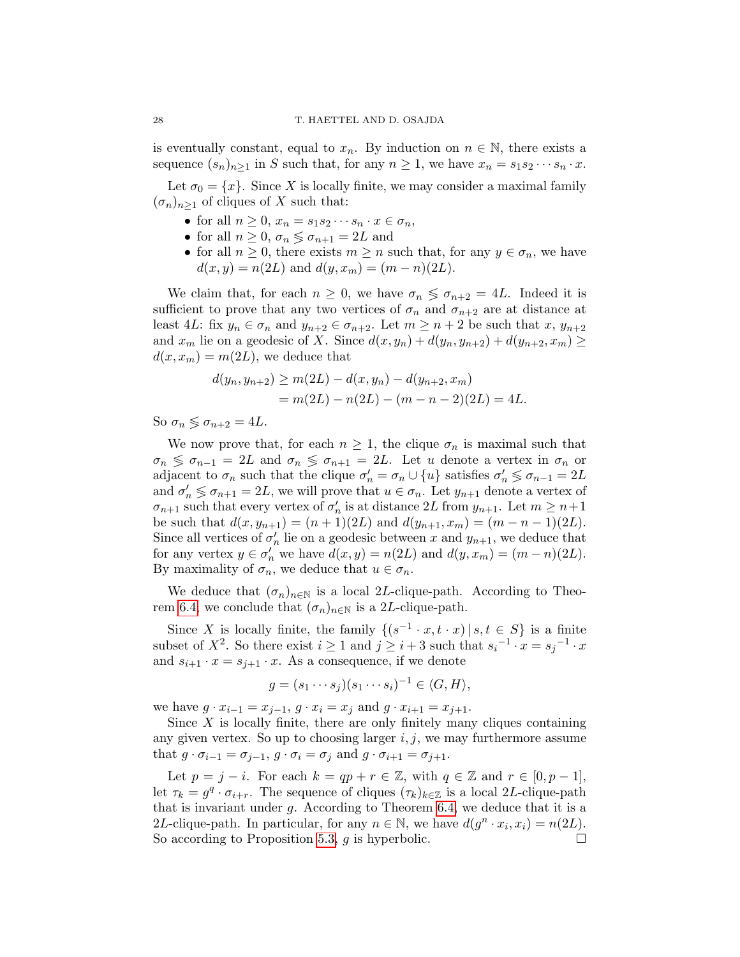is eventually constant, equal to  $x_n$ . By induction on  $n \in \mathbb{N}$ , there exists a sequence  $(s_n)_{n>1}$  in S such that, for any  $n \geq 1$ , we have  $x_n = s_1 s_2 \cdots s_n \cdot x$ .

Let  $\sigma_0 = \{x\}$ . Since X is locally finite, we may consider a maximal family  $(\sigma_n)_{n>1}$  of cliques of X such that:

- for all  $n \geq 0$ ,  $x_n = s_1 s_2 \cdots s_n \cdot x \in \sigma_n$ ,
- for all  $n \geq 0$ ,  $\sigma_n \leq \sigma_{n+1} = 2L$  and
- for all  $n \geq 0$ , there exists  $m \geq n$  such that, for any  $y \in \sigma_n$ , we have  $d(x, y) = n(2L)$  and  $d(y, x_m) = (m - n)(2L)$ .

We claim that, for each  $n \geq 0$ , we have  $\sigma_n \leq \sigma_{n+2} = 4L$ . Indeed it is sufficient to prove that any two vertices of  $\sigma_n$  and  $\sigma_{n+2}$  are at distance at least 4L: fix  $y_n \in \sigma_n$  and  $y_{n+2} \in \sigma_{n+2}$ . Let  $m \geq n+2$  be such that  $x, y_{n+2}$ and  $x_m$  lie on a geodesic of X. Since  $d(x, y_n) + d(y_n, y_{n+2}) + d(y_{n+2}, x_m) \ge$  $d(x, x_m) = m(2L)$ , we deduce that

$$
d(y_n, y_{n+2}) \ge m(2L) - d(x, y_n) - d(y_{n+2}, x_m)
$$
  
=  $m(2L) - n(2L) - (m - n - 2)(2L) = 4L.$ 

So  $\sigma_n \leq \sigma_{n+2} = 4L$ .

We now prove that, for each  $n \geq 1$ , the clique  $\sigma_n$  is maximal such that  $\sigma_n \leq \sigma_{n-1} = 2L$  and  $\sigma_n \leq \sigma_{n+1} = 2L$ . Let u denote a vertex in  $\sigma_n$  or adjacent to  $\sigma_n$  such that the clique  $\sigma'_n = \sigma_n \cup \{u\}$  satisfies  $\sigma'_n \leq \sigma_{n-1} = 2L$ and  $\sigma'_n \leq \sigma_{n+1} = 2L$ , we will prove that  $u \in \sigma_n$ . Let  $y_{n+1}$  denote a vertex of  $\sigma_{n+1}$  such that every vertex of  $\sigma'_n$  is at distance 2L from  $y_{n+1}$ . Let  $m \geq n+1$ be such that  $d(x, y_{n+1}) = (n+1)(2L)$  and  $d(y_{n+1}, x_m) = (m-n-1)(2L)$ . Since all vertices of  $\sigma'_n$  lie on a geodesic between x and  $y_{n+1}$ , we deduce that for any vertex  $y \in \sigma'_n$  we have  $d(x, y) = n(2L)$  and  $d(y, x_m) = (m - n)(2L)$ . By maximality of  $\sigma_n$ , we deduce that  $u \in \sigma_n$ .

We deduce that  $(\sigma_n)_{n\in\mathbb{N}}$  is a local 2L-clique-path. According to Theo-rem [6.4,](#page-24-1) we conclude that  $(\sigma_n)_{n\in\mathbb{N}}$  is a 2L-clique-path.

Since X is locally finite, the family  $\{(s^{-1} \cdot x, t \cdot x) | s, t \in S\}$  is a finite subset of  $X^2$ . So there exist  $i \geq 1$  and  $j \geq i+3$  such that  $s_i^{-1} \cdot x = s_j^{-1} \cdot x$ and  $s_{i+1} \cdot x = s_{i+1} \cdot x$ . As a consequence, if we denote

$$
g = (s_1 \cdots s_j)(s_1 \cdots s_i)^{-1} \in \langle G, H \rangle,
$$

we have  $g \cdot x_{i-1} = x_{j-1}, g \cdot x_i = x_j$  and  $g \cdot x_{i+1} = x_{j+1}$ .

Since  $X$  is locally finite, there are only finitely many cliques containing any given vertex. So up to choosing larger  $i, j$ , we may furthermore assume that  $g \cdot \sigma_{i-1} = \sigma_{i-1}, g \cdot \sigma_i = \sigma_i$  and  $g \cdot \sigma_{i+1} = \sigma_{i+1}$ .

Let  $p = j - i$ . For each  $k = qp + r \in \mathbb{Z}$ , with  $q \in \mathbb{Z}$  and  $r \in [0, p - 1]$ , let  $\tau_k = g^q \cdot \sigma_{i+r}$ . The sequence of cliques  $(\tau_k)_{k \in \mathbb{Z}}$  is a local 2L-clique-path that is invariant under  $g$ . According to Theorem [6.4,](#page-24-1) we deduce that it is a 2L-clique-path. In particular, for any  $n \in \mathbb{N}$ , we have  $d(g^n \cdot x_i, x_i) = n(2L)$ . So according to Proposition [5.3,](#page-19-0) q is hyperbolic.  $\Box$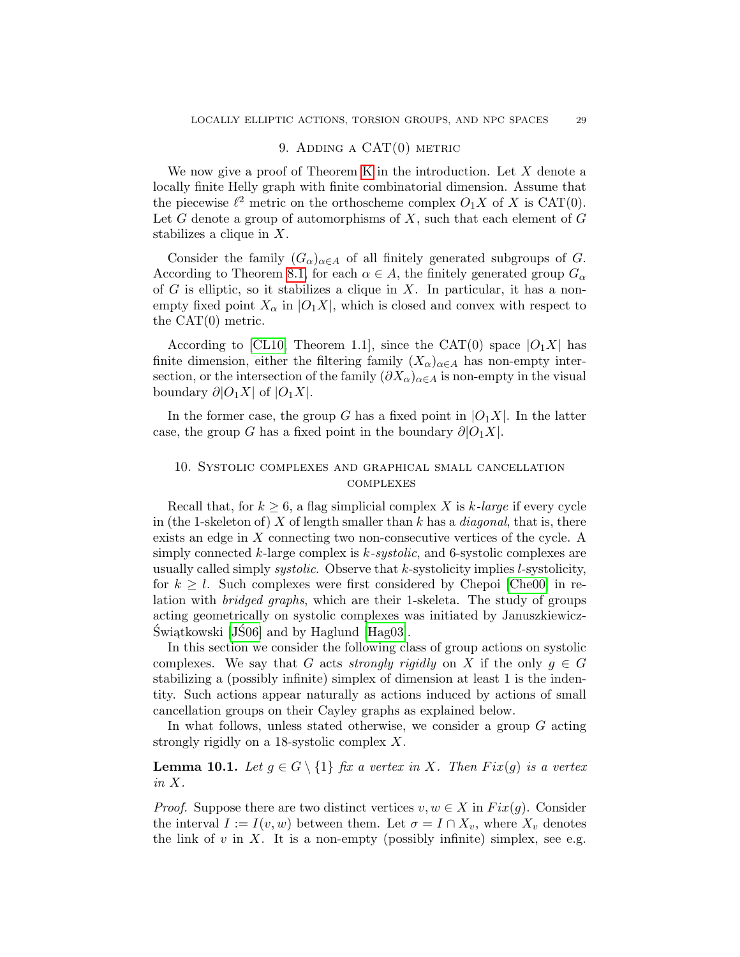### 9. ADDING A  $CAT(0)$  METRIC

<span id="page-28-0"></span>We now give a proof of Theorem [K](#page-4-1) in the introduction. Let  $X$  denote a locally finite Helly graph with finite combinatorial dimension. Assume that the piecewise  $\ell^2$  metric on the orthoscheme complex  $O_1X$  of X is CAT(0). Let  $G$  denote a group of automorphisms of  $X$ , such that each element of  $G$ stabilizes a clique in X.

Consider the family  $(G_{\alpha})_{\alpha \in A}$  of all finitely generated subgroups of G. According to Theorem [8.1,](#page-26-0) for each  $\alpha \in A$ , the finitely generated group  $G_{\alpha}$ of G is elliptic, so it stabilizes a clique in X. In particular, it has a nonempty fixed point  $X_{\alpha}$  in  $|O_1X|$ , which is closed and convex with respect to the CAT(0) metric.

According to [\[CL10,](#page-31-1) Theorem 1.1], since the CAT(0) space  $|O_1X|$  has finite dimension, either the filtering family  $(X_{\alpha})_{\alpha \in A}$  has non-empty intersection, or the intersection of the family  $(\partial X_{\alpha})_{\alpha \in A}$  is non-empty in the visual boundary  $\partial |O_1X|$  of  $|O_1X|$ .

In the former case, the group G has a fixed point in  $|O_1X|$ . In the latter case, the group G has a fixed point in the boundary  $\partial |O_1X|$ .

## <span id="page-28-1"></span>10. Systolic complexes and graphical small cancellation **COMPLEXES**

Recall that, for  $k > 6$ , a flag simplicial complex X is k-large if every cycle in (the 1-skeleton of) X of length smaller than k has a *diagonal*, that is, there exists an edge in X connecting two non-consecutive vertices of the cycle. A simply connected  $k$ -large complex is  $k$ -systolic, and 6-systolic complexes are usually called simply *systolic*. Observe that k-systolicity implies *l*-systolicity, for  $k \geq l$ . Such complexes were first considered by Chepoi [\[Che00\]](#page-31-6) in relation with bridged graphs, which are their 1-skeleta. The study of groups acting geometrically on systolic complexes was initiated by Januszkiewicz-Świątkowski [JŚ06] and by Haglund [\[Hag03\]](#page-32-22).

In this section we consider the following class of group actions on systolic complexes. We say that G acts strongly rigidly on X if the only  $g \in G$ stabilizing a (possibly infinite) simplex of dimension at least 1 is the indentity. Such actions appear naturally as actions induced by actions of small cancellation groups on their Cayley graphs as explained below.

In what follows, unless stated otherwise, we consider a group  $G$  acting strongly rigidly on a 18-systolic complex X.

**Lemma 10.1.** Let  $g \in G \setminus \{1\}$  fix a vertex in X. Then  $Fix(g)$  is a vertex in X.

*Proof.* Suppose there are two distinct vertices  $v, w \in X$  in  $Fix(q)$ . Consider the interval  $I := I(v, w)$  between them. Let  $\sigma = I \cap X_v$ , where  $X_v$  denotes the link of v in X. It is a non-empty (possibly infinite) simplex, see e.g.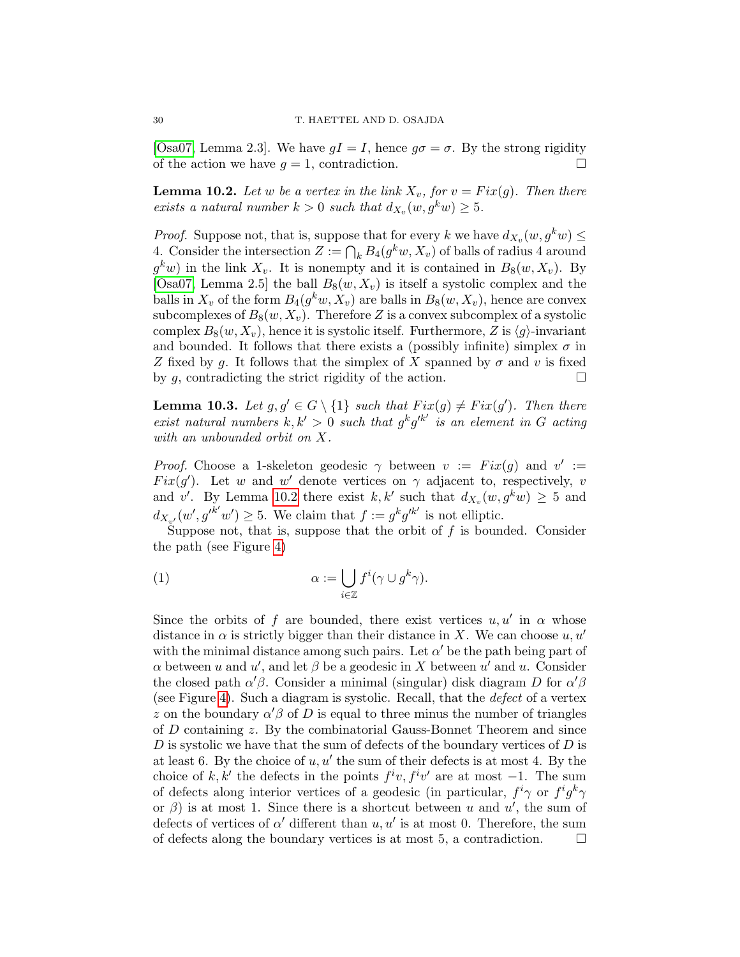[\[Osa07,](#page-34-23) Lemma 2.3]. We have  $gI = I$ , hence  $g\sigma = \sigma$ . By the strong rigidity of the action we have  $q = 1$ , contradiction.

<span id="page-29-0"></span>**Lemma 10.2.** Let w be a vertex in the link  $X_v$ , for  $v = Fix(g)$ . Then there exists a natural number  $k > 0$  such that  $d_{X_v}(w, g^k w) \geq 5$ .

*Proof.* Suppose not, that is, suppose that for every k we have  $d_{X_v}(w, g^k w) \leq$ 4. Consider the intersection  $Z := \bigcap_k B_4(g^k w, X_v)$  of balls of radius 4 around  $g^k w$ ) in the link  $X_v$ . It is nonempty and it is contained in  $B_8(w, X_v)$ . By [\[Osa07,](#page-34-23) Lemma 2.5] the ball  $B_8(w, X_v)$  is itself a systolic complex and the balls in  $X_v$  of the form  $B_4(g^kw,X_v)$  are balls in  $B_8(w,X_v)$ , hence are convex subcomplexes of  $B_8(w, X_v)$ . Therefore Z is a convex subcomplex of a systolic complex  $B_8(w, X_v)$ , hence it is systolic itself. Furthermore, Z is  $\langle g \rangle$ -invariant and bounded. It follows that there exists a (possibly infinite) simplex  $\sigma$  in Z fixed by g. It follows that the simplex of X spanned by  $\sigma$  and v is fixed by g, contradicting the strict rigidity of the action.  $\Box$ 

<span id="page-29-1"></span>**Lemma 10.3.** Let  $g, g' \in G \setminus \{1\}$  such that  $Fix(g) \neq Fix(g')$ . Then there exist natural numbers  $k, k' > 0$  such that  $g^k g'^{k'}$  is an element in G acting with an unbounded orbit on X.

*Proof.* Choose a 1-skeleton geodesic  $\gamma$  between  $v := Fix(g)$  and  $v' :=$ Fix(g'). Let w and w' denote vertices on  $\gamma$  adjacent to, respectively, v and v'. By Lemma [10.2](#page-29-0) there exist k, k' such that  $d_{X_v}(w, g^k w) \geq 5$  and  $d_{X_{v'}}(w', g'^{k'}w') \geq 5$ . We claim that  $f := g^k g'^{k'}$  is not elliptic.

Suppose not, that is, suppose that the orbit of  $f$  is bounded. Consider the path (see Figure [4\)](#page-30-2)

(1) 
$$
\alpha := \bigcup_{i \in \mathbb{Z}} f^i(\gamma \cup g^k \gamma).
$$

Since the orbits of f are bounded, there exist vertices  $u, u'$  in  $\alpha$  whose distance in  $\alpha$  is strictly bigger than their distance in X. We can choose u, u' with the minimal distance among such pairs. Let  $\alpha'$  be the path being part of  $\alpha$  between u and u', and let  $\beta$  be a geodesic in X between u' and u. Consider the closed path  $\alpha' \beta$ . Consider a minimal (singular) disk diagram D for  $\alpha' \beta$ (see Figure [4\)](#page-30-2). Such a diagram is systolic. Recall, that the defect of a vertex z on the boundary  $\alpha' \beta$  of D is equal to three minus the number of triangles of D containing z. By the combinatorial Gauss-Bonnet Theorem and since  $D$  is systolic we have that the sum of defects of the boundary vertices of  $D$  is at least 6. By the choice of  $u, u'$  the sum of their defects is at most 4. By the choice of k, k' the defects in the points  $f^iv, f^iv'$  are at most -1. The sum of defects along interior vertices of a geodesic (in particular,  $f^i \gamma$  or  $f^i g^k \gamma$ or  $\beta$ ) is at most 1. Since there is a shortcut between u and u', the sum of defects of vertices of  $\alpha'$  different than  $u, u'$  is at most 0. Therefore, the sum of defects along the boundary vertices is at most 5, a contradiction.  $\Box$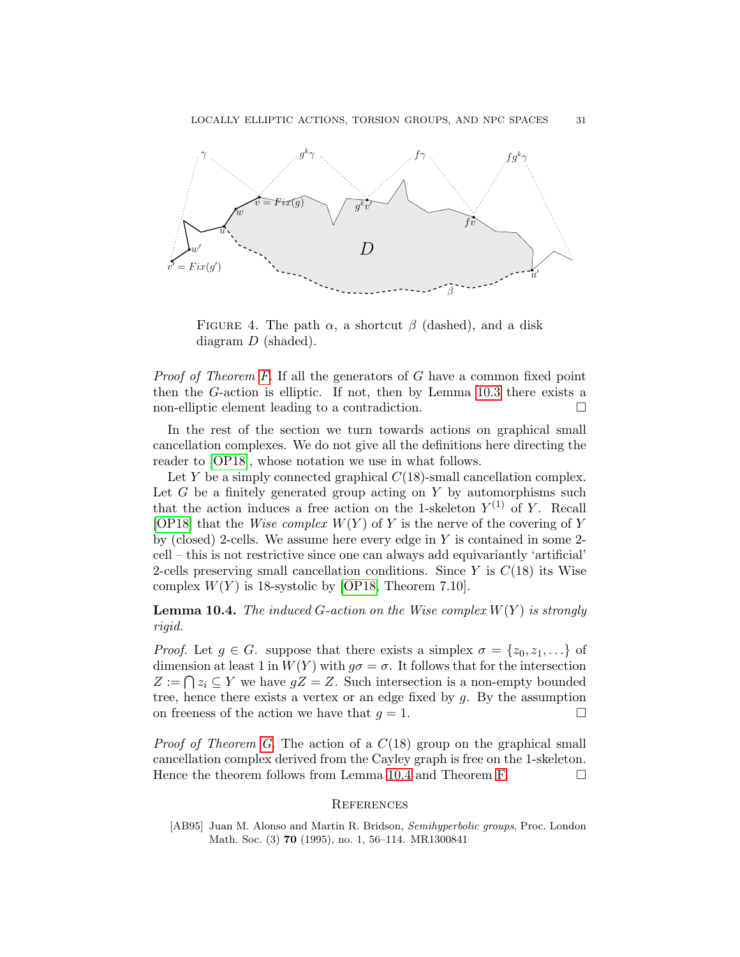

<span id="page-30-2"></span>FIGURE 4. The path  $\alpha$ , a shortcut  $\beta$  (dashed), and a disk diagram D (shaded).

Proof of Theorem [F.](#page-2-1) If all the generators of G have a common fixed point then the G-action is elliptic. If not, then by Lemma [10.3](#page-29-1) there exists a non-elliptic element leading to a contradiction.

In the rest of the section we turn towards actions on graphical small cancellation complexes. We do not give all the definitions here directing the reader to [\[OP18\]](#page-34-5), whose notation we use in what follows.

Let Y be a simply connected graphical  $C(18)$ -small cancellation complex. Let  $G$  be a finitely generated group acting on  $Y$  by automorphisms such that the action induces a free action on the 1-skeleton  $Y^{(1)}$  of Y. Recall [\[OP18\]](#page-34-5) that the *Wise complex*  $W(Y)$  of Y is the nerve of the covering of Y by (closed) 2-cells. We assume here every edge in  $Y$  is contained in some 2cell – this is not restrictive since one can always add equivariantly 'artificial' 2-cells preserving small cancellation conditions. Since  $Y$  is  $C(18)$  its Wise complex  $W(Y)$  is 18-systolic by [\[OP18,](#page-34-5) Theorem 7.10].

<span id="page-30-3"></span>**Lemma 10.4.** The induced G-action on the Wise complex  $W(Y)$  is strongly rigid.

*Proof.* Let  $g \in G$ . suppose that there exists a simplex  $\sigma = \{z_0, z_1, \ldots\}$  of dimension at least 1 in  $W(Y)$  with  $g\sigma = \sigma$ . It follows that for the intersection  $Z := \bigcap z_i \subseteq Y$  we have  $gZ = Z$ . Such intersection is a non-empty bounded tree, hence there exists a vertex or an edge fixed by  $g$ . By the assumption on freeness of the action we have that  $q = 1$ .

*Proof of Theorem [G.](#page-3-1)* The action of a  $C(18)$  group on the graphical small cancellation complex derived from the Cayley graph is free on the 1-skeleton. Hence the theorem follows from Lemma [10.4](#page-30-3) and Theorem [F.](#page-2-1)

### <span id="page-30-0"></span>**REFERENCES**

<span id="page-30-1"></span>[AB95] Juan M. Alonso and Martin R. Bridson, Semihyperbolic groups, Proc. London Math. Soc. (3) 70 (1995), no. 1, 56–114. MR1300841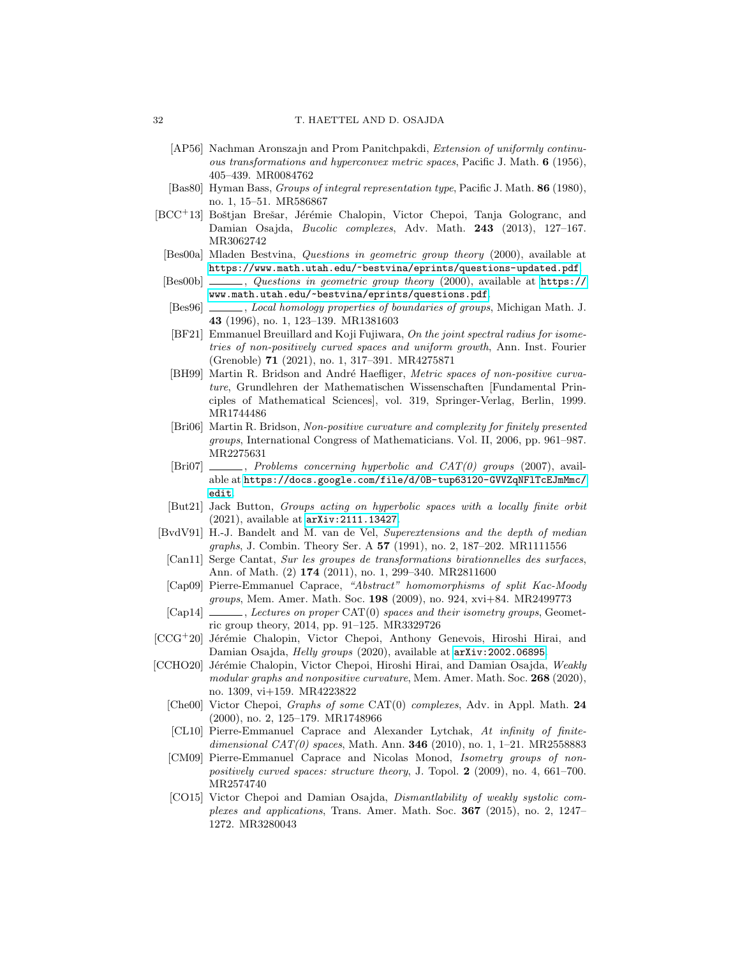- <span id="page-31-4"></span>[AP56] Nachman Aronszajn and Prom Panitchpakdi, Extension of uniformly continuous transformations and hyperconvex metric spaces, Pacific J. Math. 6 (1956), 405–439. MR0084762
- <span id="page-31-16"></span>[Bas80] Hyman Bass, Groups of integral representation type, Pacific J. Math. 86 (1980), no. 1, 15–51. MR586867
- <span id="page-31-7"></span>[BCC<sup>+</sup>13] Boštjan Brešar, Jérémie Chalopin, Victor Chepoi, Tanja Gologranc, and Damian Osajda, Bucolic complexes, Adv. Math. 243 (2013), 127–167. MR3062742
- <span id="page-31-9"></span>[Bes00a] Mladen Bestvina, Questions in geometric group theory (2000), available at <https://www.math.utah.edu/~bestvina/eprints/questions-updated.pdf>.
- <span id="page-31-13"></span> $[Bes00b]$  , Questions in geometric group theory (2000), available at [https://](https: //www.math.utah.edu/~bestvina/eprints/questions.pdf) [www.math.utah.edu/~bestvina/eprints/questions.pdf](https: //www.math.utah.edu/~bestvina/eprints/questions.pdf).
- <span id="page-31-20"></span>[Bes96] , Local homology properties of boundaries of groups, Michigan Math. J. 43 (1996), no. 1, 123–139. MR1381603
- <span id="page-31-2"></span>[BF21] Emmanuel Breuillard and Koji Fujiwara, On the joint spectral radius for isometries of non-positively curved spaces and uniform growth, Ann. Inst. Fourier (Grenoble) 71 (2021), no. 1, 317–391. MR4275871
- <span id="page-31-3"></span>[BH99] Martin R. Bridson and André Haefliger, Metric spaces of non-positive curvature, Grundlehren der Mathematischen Wissenschaften [Fundamental Principles of Mathematical Sciences], vol. 319, Springer-Verlag, Berlin, 1999. MR1744486
- <span id="page-31-10"></span>[Bri06] Martin R. Bridson, Non-positive curvature and complexity for finitely presented groups, International Congress of Mathematicians. Vol. II, 2006, pp. 961–987. MR2275631
- <span id="page-31-11"></span>[Bri07]  $\qquad \qquad$ , Problems concerning hyperbolic and CAT(0) groups (2007), available at [https://docs.google.com/file/d/0B-tup63120-GVVZqNFlTcEJmMmc/](https://docs.google.com/file/d/0B-tup63120-GVVZqNFlTcEJmMmc/edit) [edit](https://docs.google.com/file/d/0B-tup63120-GVVZqNFlTcEJmMmc/edit).
- <span id="page-31-17"></span>[But21] Jack Button, Groups acting on hyperbolic spaces with a locally finite orbit (2021), available at <arXiv:2111.13427>.
- <span id="page-31-19"></span>[BvdV91] H.-J. Bandelt and M. van de Vel, Superextensions and the depth of median graphs, J. Combin. Theory Ser. A 57 (1991), no. 2, 187-202. MR1111556
- <span id="page-31-15"></span>[Can11] Serge Cantat, Sur les groupes de transformations birationnelles des surfaces, Ann. of Math. (2) 174 (2011), no. 1, 299–340. MR2811600
- <span id="page-31-14"></span>[Cap09] Pierre-Emmanuel Caprace, "Abstract" homomorphisms of split Kac-Moody groups, Mem. Amer. Math. Soc. 198 (2009), no. 924, xvi+84. MR2499773
- <span id="page-31-12"></span>[Cap14] , Lectures on proper CAT(0) spaces and their isometry groups, Geometric group theory, 2014, pp. 91–125. MR3329726
- <span id="page-31-0"></span>[CCG<sup>+</sup>20] Jérémie Chalopin, Victor Chepoi, Anthony Genevois, Hiroshi Hirai, and Damian Osajda, Helly groups (2020), available at  $arXiv:2002.06895$ .
- <span id="page-31-18"></span><span id="page-31-8"></span><span id="page-31-6"></span><span id="page-31-5"></span><span id="page-31-1"></span>[CCHO20] Jérémie Chalopin, Victor Chepoi, Hiroshi Hirai, and Damian Osajda, Weakly modular graphs and nonpositive curvature, Mem. Amer. Math. Soc. 268 (2020), no. 1309, vi+159. MR4223822
	- [Che00] Victor Chepoi, Graphs of some CAT(0) complexes, Adv. in Appl. Math. 24 (2000), no. 2, 125–179. MR1748966
	- [CL10] Pierre-Emmanuel Caprace and Alexander Lytchak, At infinity of finitedimensional  $CAT(0)$  spaces, Math. Ann. **346** (2010), no. 1, 1–21. MR2558883
	- [CM09] Pierre-Emmanuel Caprace and Nicolas Monod, Isometry groups of nonpositively curved spaces: structure theory, J. Topol. 2 (2009), no. 4, 661-700. MR2574740
	- [CO15] Victor Chepoi and Damian Osajda, Dismantlability of weakly systolic complexes and applications, Trans. Amer. Math. Soc. 367 (2015), no. 2, 1247– 1272. MR3280043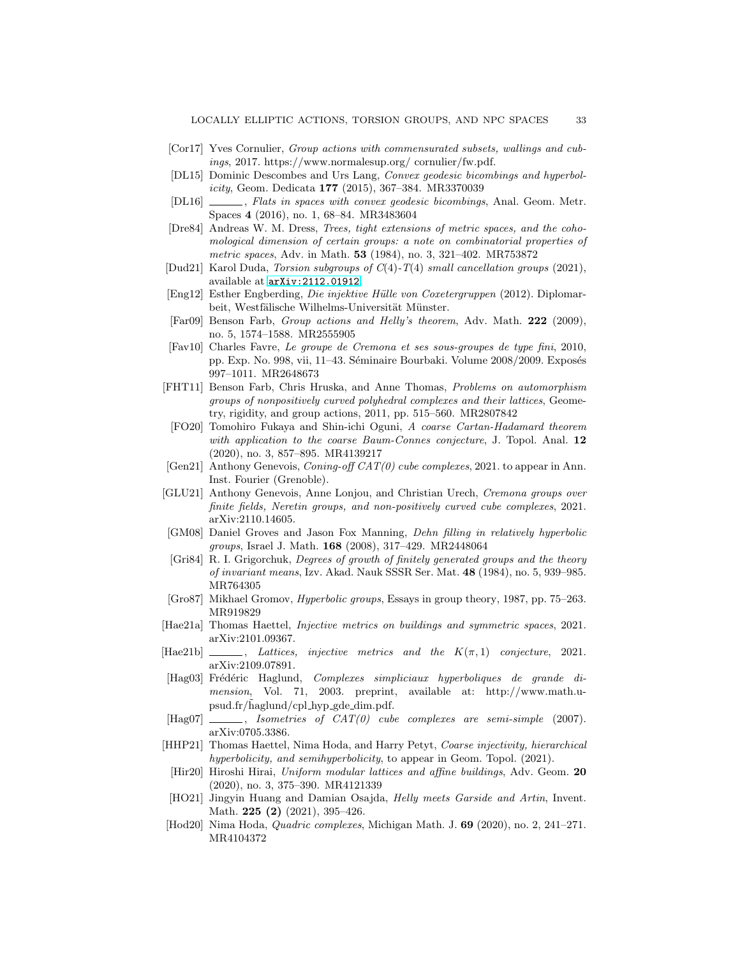- <span id="page-32-5"></span>[Cor17] Yves Cornulier, Group actions with commensurated subsets, wallings and cubings, 2017. https://www.normalesup.org/ cornulier/fw.pdf.
- <span id="page-32-8"></span>[DL15] Dominic Descombes and Urs Lang, Convex geodesic bicombings and hyperbolicity, Geom. Dedicata 177 (2015), 367–384. MR3370039
- <span id="page-32-21"></span>[DL16]  $\qquad \qquad$ , Flats in spaces with convex geodesic bicombings, Anal. Geom. Metr. Spaces 4 (2016), no. 1, 68–84. MR3483604
- <span id="page-32-1"></span>[Dre84] Andreas W. M. Dress, Trees, tight extensions of metric spaces, and the cohomological dimension of certain groups: a note on combinatorial properties of metric spaces, Adv. in Math. **53** (1984), no. 3, 321-402. MR753872
- <span id="page-32-15"></span>[Dud21] Karol Duda, Torsion subgroups of C(4)-T(4) small cancellation groups (2021), available at <arXiv:2112.01912>.
- <span id="page-32-17"></span>[Eng12] Esther Engberding, Die injektive H¨ulle von Coxetergruppen (2012). Diplomarbeit, Westfälische Wilhelms-Universität Münster.
- <span id="page-32-12"></span>[Far09] Benson Farb, Group actions and Helly's theorem, Adv. Math. 222 (2009), no. 5, 1574–1588. MR2555905
- <span id="page-32-11"></span>[Fav10] Charles Favre, Le groupe de Cremona et ses sous-groupes de type fini, 2010, pp. Exp. No. 998, vii, 11–43. Séminaire Bourbaki. Volume 2008/2009. Exposés 997–1011. MR2648673
- <span id="page-32-10"></span>[FHT11] Benson Farb, Chris Hruska, and Anne Thomas, Problems on automorphism groups of nonpositively curved polyhedral complexes and their lattices, Geometry, rigidity, and group actions, 2011, pp. 515–560. MR2807842
- <span id="page-32-20"></span>[FO20] Tomohiro Fukaya and Shin-ichi Oguni, A coarse Cartan-Hadamard theorem with application to the coarse Baum-Connes conjecture, J. Topol. Anal. 12 (2020), no. 3, 857–895. MR4139217
- <span id="page-32-16"></span>[Gen21] Anthony Genevois,  $\emph{Coning-off CAT}(0)$  cube complexes, 2021. to appear in Ann. Inst. Fourier (Grenoble).
- <span id="page-32-14"></span>[GLU21] Anthony Genevois, Anne Lonjou, and Christian Urech, Cremona groups over finite fields, Neretin groups, and non-positively curved cube complexes, 2021. arXiv:2110.14605.
- <span id="page-32-13"></span>[GM08] Daniel Groves and Jason Fox Manning, Dehn filling in relatively hyperbolic groups, Israel J. Math. 168 (2008), 317–429. MR2448064
- <span id="page-32-0"></span>[Gri84] R. I. Grigorchuk, Degrees of growth of finitely generated groups and the theory of invariant means, Izv. Akad. Nauk SSSR Ser. Mat. 48 (1984), no. 5, 939–985. MR764305
- <span id="page-32-3"></span>[Gro87] Mikhael Gromov, *Hyperbolic groups*, Essays in group theory, 1987, pp. 75–263. MR919829
- <span id="page-32-6"></span>[Hae21a] Thomas Haettel, Injective metrics on buildings and symmetric spaces, 2021. arXiv:2101.09367.
- <span id="page-32-7"></span> $[Hae21b]$  , Lattices, injective metrics and the  $K(\pi, 1)$  conjecture, 2021. arXiv:2109.07891.
- <span id="page-32-22"></span>[Hag03] Frédéric Haglund, Complexes simpliciaux hyperboliques de grande dimension, Vol. 71, 2003. preprint, available at: http://www.math.upsud.fr/haglund/cpl\_hyp\_gde\_dim.pdf.
- <span id="page-32-2"></span> $[Hag07]$  \_\_\_\_\_, Isometries of  $CAT(0)$  cube complexes are semi-simple (2007). arXiv:0705.3386.
- <span id="page-32-18"></span>[HHP21] Thomas Haettel, Nima Hoda, and Harry Petyt, Coarse injectivity, hierarchical hyperbolicity, and semihyperbolicity, to appear in Geom. Topol. (2021).
- <span id="page-32-19"></span>[Hir20] Hiroshi Hirai, Uniform modular lattices and affine buildings, Adv. Geom. 20 (2020), no. 3, 375–390. MR4121339
- <span id="page-32-4"></span>[HO21] Jingyin Huang and Damian Osajda, *Helly meets Garside and Artin*, Invent. Math. **225** (2) (2021), 395-426.
- <span id="page-32-9"></span>[Hod20] Nima Hoda, Quadric complexes, Michigan Math. J. 69 (2020), no. 2, 241–271. MR4104372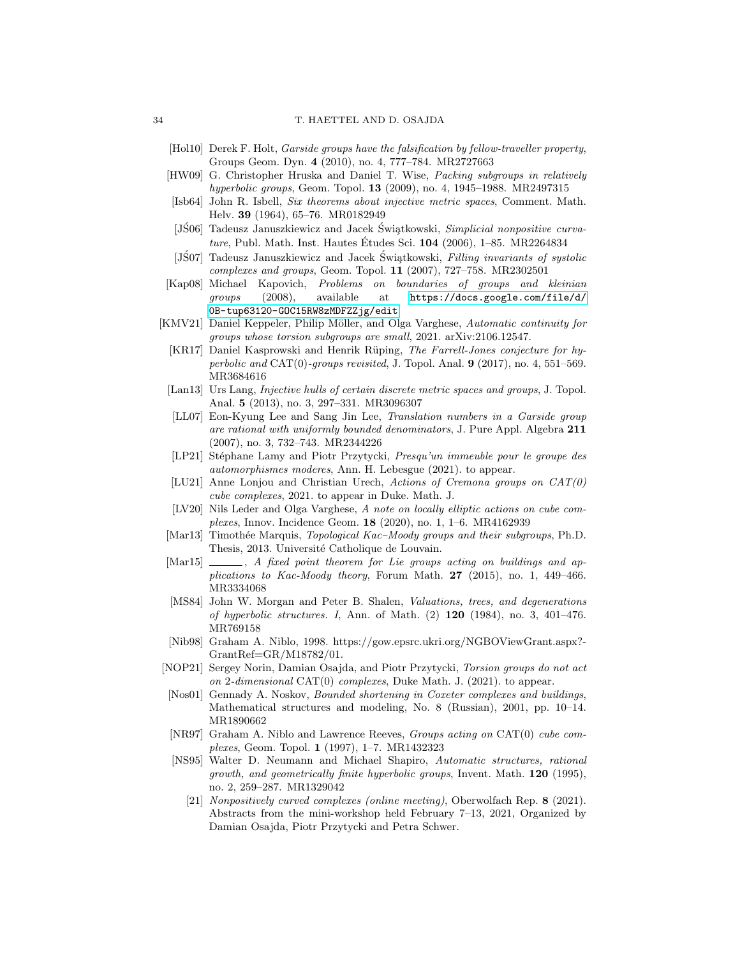- <span id="page-33-3"></span>[Hol10] Derek F. Holt, Garside groups have the falsification by fellow-traveller property, Groups Geom. Dyn. 4 (2010), no. 4, 777–784. MR2727663
- <span id="page-33-20"></span>[HW09] G. Christopher Hruska and Daniel T. Wise, Packing subgroups in relatively hyperbolic groups, Geom. Topol. 13 (2009), no. 4, 1945–1988. MR2497315
- <span id="page-33-10"></span>[Isb64] John R. Isbell, Six theorems about injective metric spaces, Comment. Math. Helv. 39 (1964), 65–76. MR0182949
- <span id="page-33-11"></span>[JS06] Tadeusz Januszkiewicz and Jacek Swiątkowski, Simplicial nonpositive curvature, Publ. Math. Inst. Hautes Études Sci.  $104$  (2006), 1–85. MR2264834
- <span id="page-33-13"></span>[JS07] Tadeusz Januszkiewicz and Jacek Świątkowski, Filling invariants of systolic complexes and groups, Geom. Topol. 11 (2007), 727–758. MR2302501
- <span id="page-33-14"></span>[Kap08] Michael Kapovich, Problems on boundaries of groups and kleinian groups (2008), available at [https://docs.google.com/file/d/](https://docs.google.com/file/d/0B-tup63120-GOC15RW8zMDFZZjg/edit) [0B-tup63120-GOC15RW8zMDFZZjg/edit](https://docs.google.com/file/d/0B-tup63120-GOC15RW8zMDFZZjg/edit).
- <span id="page-33-21"></span><span id="page-33-8"></span><span id="page-33-4"></span><span id="page-33-0"></span>[KMV21] Daniel Keppeler, Philip Möller, and Olga Varghese, Automatic continuity for groups whose torsion subgroups are small, 2021. arXiv:2106.12547.
	- [KR17] Daniel Kasprowski and Henrik Rüping, The Farrell-Jones conjecture for hyperbolic and  $CAT(0)$ -groups revisited, J. Topol. Anal.  $9$  (2017), no. 4, 551–569. MR3684616
	- [Lan13] Urs Lang, Injective hulls of certain discrete metric spaces and groups, J. Topol. Anal. 5 (2013), no. 3, 297–331. MR3096307
	- [LL07] Eon-Kyung Lee and Sang Jin Lee, Translation numbers in a Garside group are rational with uniformly bounded denominators, J. Pure Appl. Algebra 211 (2007), no. 3, 732–743. MR2344226
	- [LP21] Stéphane Lamy and Piotr Przytycki, *Presqu'un immeuble pour le groupe des* automorphismes moderes, Ann. H. Lebesgue (2021). to appear.
	- [LU21] Anne Lonjou and Christian Urech, Actions of Cremona groups on CAT(0) cube complexes, 2021. to appear in Duke. Math. J.
	- [LV20] Nils Leder and Olga Varghese, A note on locally elliptic actions on cube complexes, Innov. Incidence Geom. 18 (2020), no. 1, 1–6. MR4162939
- <span id="page-33-17"></span><span id="page-33-16"></span><span id="page-33-6"></span><span id="page-33-5"></span>[Mar13] Timothée Marquis, *Topological Kac–Moody groups and their subgroups*, Ph.D. Thesis, 2013. Université Catholique de Louvain.
- <span id="page-33-15"></span>[Mar15]  $\ldots$ , A fixed point theorem for Lie groups acting on buildings and applications to Kac-Moody theory, Forum Math.  $27$  (2015), no. 1, 449-466. MR3334068
- <span id="page-33-18"></span>[MS84] John W. Morgan and Peter B. Shalen, Valuations, trees, and degenerations of hyperbolic structures. I, Ann. of Math.  $(2)$  120 (1984), no. 3, 401–476. MR769158
- <span id="page-33-19"></span>[Nib98] Graham A. Niblo, 1998. https://gow.epsrc.ukri.org/NGBOViewGrant.aspx?- GrantRef=GR/M18782/01.
- <span id="page-33-7"></span>[NOP21] Sergey Norin, Damian Osajda, and Piotr Przytycki, Torsion groups do not act on 2-dimensional  $CAT(0)$  complexes, Duke Math. J. (2021). to appear.
- <span id="page-33-2"></span>[Nos01] Gennady A. Noskov, Bounded shortening in Coxeter complexes and buildings, Mathematical structures and modeling, No. 8 (Russian), 2001, pp. 10–14. MR1890662
- <span id="page-33-9"></span>[NR97] Graham A. Niblo and Lawrence Reeves, Groups acting on CAT(0) cube complexes, Geom. Topol. 1 (1997), 1–7. MR1432323
- <span id="page-33-12"></span><span id="page-33-1"></span>[NS95] Walter D. Neumann and Michael Shapiro, Automatic structures, rational growth, and geometrically finite hyperbolic groups, Invent. Math.  $120$  (1995), no. 2, 259–287. MR1329042
	- [21] Nonpositively curved complexes (online meeting), Oberwolfach Rep. 8 (2021). Abstracts from the mini-workshop held February 7–13, 2021, Organized by Damian Osajda, Piotr Przytycki and Petra Schwer.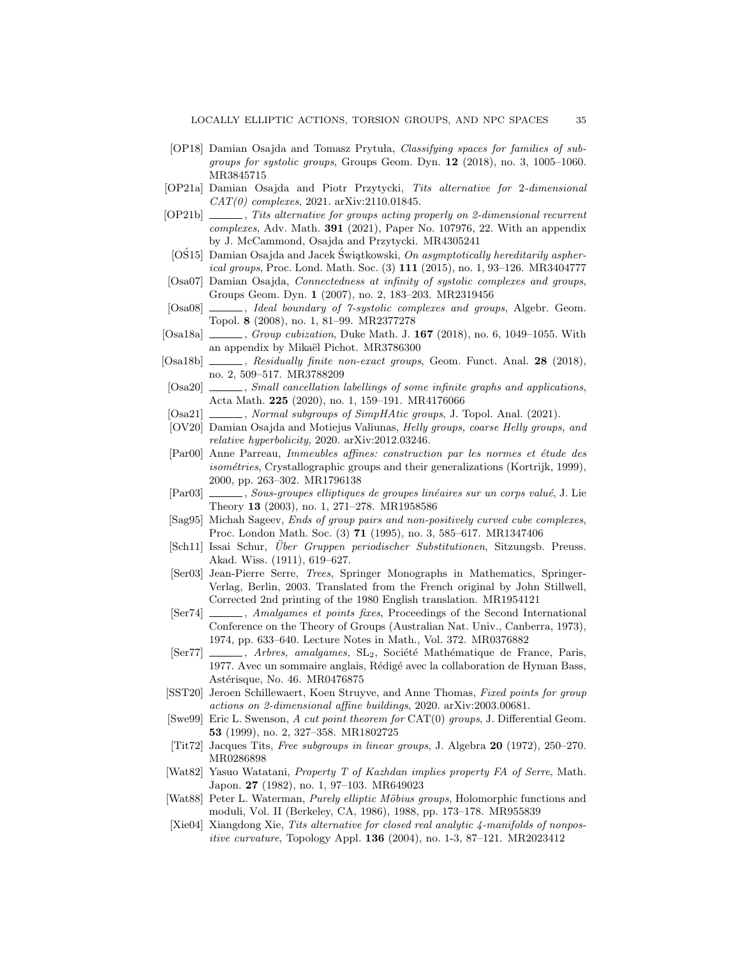- <span id="page-34-5"></span>[OP18] Damian Osajda and Tomasz Prytuła, Classifying spaces for families of subgroups for systolic groups, Groups Geom. Dyn. 12 (2018), no. 3, 1005–1060. MR3845715
- <span id="page-34-10"></span>[OP21a] Damian Osajda and Piotr Przytycki, Tits alternative for 2-dimensional CAT(0) complexes, 2021. arXiv:2110.01845.
- <span id="page-34-9"></span>[OP21b] , Tits alternative for groups acting properly on 2-dimensional recurrent complexes, Adv. Math. 391 (2021), Paper No. 107976, 22. With an appendix by J. McCammond, Osajda and Przytycki. MR4305241
- <span id="page-34-7"></span>[OS15] Damian Osajda and Jacek Swiatkowski, On asymptotically hereditarily aspherical groups, Proc. Lond. Math. Soc. (3) 111 (2015), no. 1, 93–126. MR3404777
- <span id="page-34-23"></span>[Osa07] Damian Osajda, Connectedness at infinity of systolic complexes and groups, Groups Geom. Dyn. 1 (2007), no. 2, 183–203. MR2319456
- <span id="page-34-6"></span>[Osa08]  $\ldots$ , Ideal boundary of 7-systolic complexes and groups, Algebr. Geom. Topol. 8 (2008), no. 1, 81–99. MR2377278
- <span id="page-34-1"></span> $[Osa18a] \t\t\t—, Group cubization, Duke Math. J. 167 (2018), no. 6, 1049-1055. With$ an appendix by Mikaël Pichot. MR3786300
- <span id="page-34-2"></span> $[Osa18b]$  , Residually finite non-exact groups, Geom. Funct. Anal. 28 (2018), no. 2, 509–517. MR3788209
- <span id="page-34-3"></span>[Osa20]  $\_\_\_\_\$  Small cancellation labellings of some infinite graphs and applications, Acta Math. 225 (2020), no. 1, 159–191. MR4176066
- <span id="page-34-8"></span>[Osa21]  $\_\_\_\_\_\$ , Normal subgroups of SimpHAtic groups, J. Topol. Anal. (2021).
- <span id="page-34-22"></span>[OV20] Damian Osajda and Motiejus Valiunas, Helly groups, coarse Helly groups, and relative hyperbolicity, 2020. arXiv:2012.03246.
- <span id="page-34-19"></span>[Par00] Anne Parreau, Immeubles affines: construction par les normes et étude des  $isométries$ , Crystallographic groups and their generalizations (Kortrijk, 1999), 2000, pp. 263–302. MR1796138
- <span id="page-34-4"></span>[Par03] , Sous-groupes elliptiques de groupes linéaires sur un corps valué, J. Lie Theory 13 (2003), no. 1, 271–278. MR1958586
- <span id="page-34-20"></span>[Sag95] Michah Sageev, Ends of group pairs and non-positively curved cube complexes, Proc. London Math. Soc. (3) 71 (1995), no. 3, 585–617. MR1347406
- <span id="page-34-16"></span>[Sch11] Issai Schur, *Über Gruppen periodischer Substitutionen*, Sitzungsb. Preuss. Akad. Wiss. (1911), 619–627.
- <span id="page-34-0"></span>[Ser03] Jean-Pierre Serre, Trees, Springer Monographs in Mathematics, Springer-Verlag, Berlin, 2003. Translated from the French original by John Stillwell, Corrected 2nd printing of the 1980 English translation. MR1954121
- <span id="page-34-13"></span>[Ser74]  $\qquad \qquad$ , Amalgames et points fixes, Proceedings of the Second International Conference on the Theory of Groups (Australian Nat. Univ., Canberra, 1973), 1974, pp. 633–640. Lecture Notes in Math., Vol. 372. MR0376882
- <span id="page-34-14"></span> $[SET7]$   $\ldots$ , *Arbres, amalgames*,  $SL_2$ , Société Mathématique de France, Paris, 1977. Avec un sommaire anglais, R´edig´e avec la collaboration de Hyman Bass, Astérisque, No. 46. MR0476875
- <span id="page-34-21"></span>[SST20] Jeroen Schillewaert, Koen Struyve, and Anne Thomas, Fixed points for group actions on 2-dimensional affine buildings, 2020. arXiv:2003.00681.
- <span id="page-34-11"></span>[Swe99] Eric L. Swenson, A cut point theorem for CAT(0) groups, J. Differential Geom. 53 (1999), no. 2, 327–358. MR1802725
- <span id="page-34-17"></span>[Tit72] Jacques Tits, Free subgroups in linear groups, J. Algebra 20 (1972), 250–270. MR0286898
- <span id="page-34-18"></span>[Wat82] Yasuo Watatani, Property T of Kazhdan implies property FA of Serre, Math. Japon. 27 (1982), no. 1, 97-103. MR649023
- <span id="page-34-15"></span>[Wat88] Peter L. Waterman, *Purely elliptic Möbius groups*, Holomorphic functions and moduli, Vol. II (Berkeley, CA, 1986), 1988, pp. 173–178. MR955839
- <span id="page-34-12"></span>[Xie04] Xiangdong Xie, Tits alternative for closed real analytic 4-manifolds of nonpositive curvature, Topology Appl. 136 (2004), no. 1-3, 87–121. MR2023412